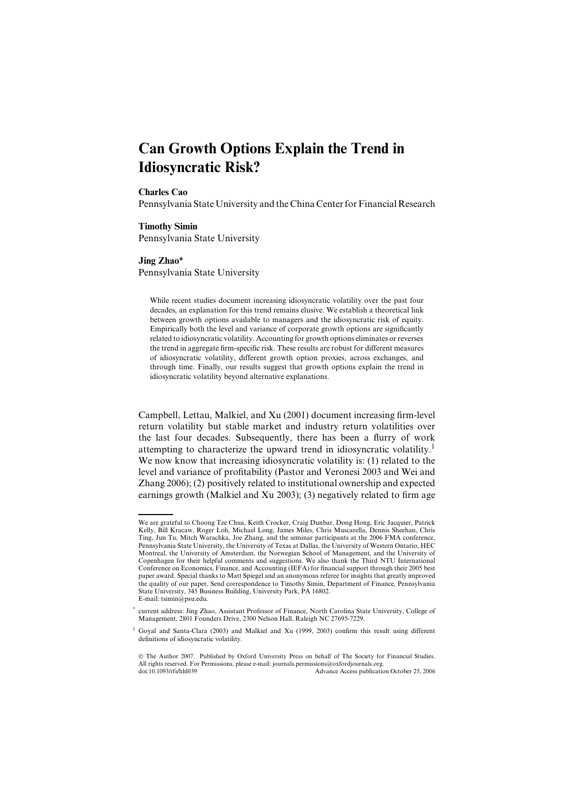# **Can Growth Options Explain the Trend in Idiosyncratic Risk?**

## **Charles Cao**

Pennsylvania State University and the China Center for Financial Research

## **Timothy Simin**

Pennsylvania State University

#### **Jing Zhao∗**

Pennsylvania State University

While recent studies document increasing idiosyncratic volatility over the past four decades, an explanation for this trend remains elusive. We establish a theoretical link between growth options available to managers and the idiosyncratic risk of equity. Empirically both the level and variance of corporate growth options are significantly related to idiosyncratic volatility. Accounting for growth options eliminates or reverses the trend in aggregate firm-specific risk. These results are robust for different measures of idiosyncratic volatility, different growth option proxies, across exchanges, and through time. Finally, our results suggest that growth options explain the trend in idiosyncratic volatility beyond alternative explanations.

Campbell, Lettau, Malkiel, and Xu (2001) document increasing firm-level return volatility but stable market and industry return volatilities over the last four decades. Subsequently, there has been a flurry of work attempting to characterize the upward trend in idiosyncratic volatility.<sup>1</sup> We now know that increasing idiosyncratic volatility is: (1) related to the level and variance of profitability (Pastor and Veronesi 2003 and Wei and Zhang 2006); (2) positively related to institutional ownership and expected earnings growth (Malkiel and Xu 2003); (3) negatively related to firm age

We are grateful to Choong Tze Chua, Keith Crocker, Craig Dunbar, Dong Hong, Eric Jacquier, Patrick Kelly, Bill Kracaw, Roger Loh, Michael Long, James Miles, Chris Muscarella, Dennis Sheehan, Chris Ting, Jun Tu, Mitch Warachka, Joe Zhang, and the seminar participants at the 2006 FMA conference, Pennsylvania State University, the University of Texas at Dallas, the University of Western Ontario, HEC Montreal, the University of Amsterdam, the Norwegian School of Management, and the University of Copenhagen for their helpful comments and suggestions. We also thank the Third NTU International Conference on Economics, Finance, and Accounting (IEFA) for financial support through their 2005 best paper award. Special thanks to Matt Spiegel and an anonymous referee for insights that greatly improved the quality of our paper. Send correspondence to Timothy Simin, Department of Finance, Pennsylvania State University, 345 Business Building, University Park, PA 16802. E-mail: tsimin@psu.edu.

current address: Jing Zhao, Assistant Professor of Finance, North Carolina State University, College of Management, 2801 Founders Drive, 2300 Nelson Hall, Raleigh NC 27695-7229.

<sup>1</sup> Goyal and Santa-Clara (2003) and Malkiel and Xu (1999, 2003) confirm this result using different definitions of idiosyncratic volatility.

The Author 2007. Published by Oxford University Press on behalf of The Society for Financial Studies. All rights reserved. For Permissions, please e-mail: journals.permissions@oxfordjournals.org.<br>doi:10.1093/rfs/hhl039<br>Advance Access publicatic Advance Access publication October 25, 2006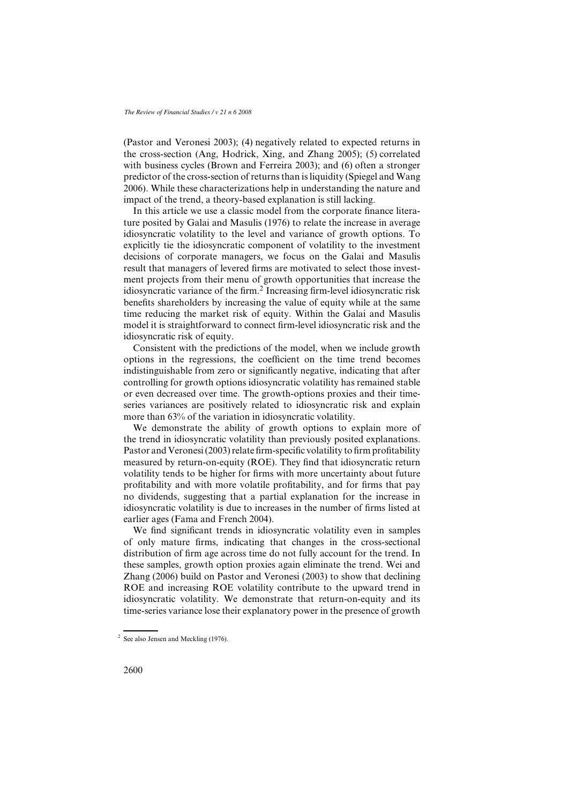(Pastor and Veronesi 2003); (4) negatively related to expected returns in the cross-section (Ang, Hodrick, Xing, and Zhang 2005); (5) correlated with business cycles (Brown and Ferreira 2003); and (6) often a stronger predictor of the cross-section of returns than is liquidity (Spiegel and Wang 2006). While these characterizations help in understanding the nature and impact of the trend, a theory-based explanation is still lacking.

In this article we use a classic model from the corporate finance literature posited by Galai and Masulis (1976) to relate the increase in average idiosyncratic volatility to the level and variance of growth options. To explicitly tie the idiosyncratic component of volatility to the investment decisions of corporate managers, we focus on the Galai and Masulis result that managers of levered firms are motivated to select those investment projects from their menu of growth opportunities that increase the idiosyncratic variance of the firm.<sup>2</sup> Increasing firm-level idiosyncratic risk benefits shareholders by increasing the value of equity while at the same time reducing the market risk of equity. Within the Galai and Masulis model it is straightforward to connect firm-level idiosyncratic risk and the idiosyncratic risk of equity.

Consistent with the predictions of the model, when we include growth options in the regressions, the coefficient on the time trend becomes indistinguishable from zero or significantly negative, indicating that after controlling for growth options idiosyncratic volatility has remained stable or even decreased over time. The growth-options proxies and their timeseries variances are positively related to idiosyncratic risk and explain more than 63% of the variation in idiosyncratic volatility.

We demonstrate the ability of growth options to explain more of the trend in idiosyncratic volatility than previously posited explanations. Pastor and Veronesi (2003) relate firm-specific volatility to firm profitability measured by return-on-equity (ROE). They find that idiosyncratic return volatility tends to be higher for firms with more uncertainty about future profitability and with more volatile profitability, and for firms that pay no dividends, suggesting that a partial explanation for the increase in idiosyncratic volatility is due to increases in the number of firms listed at earlier ages (Fama and French 2004).

We find significant trends in idiosyncratic volatility even in samples of only mature firms, indicating that changes in the cross-sectional distribution of firm age across time do not fully account for the trend. In these samples, growth option proxies again eliminate the trend. Wei and Zhang (2006) build on Pastor and Veronesi (2003) to show that declining ROE and increasing ROE volatility contribute to the upward trend in idiosyncratic volatility. We demonstrate that return-on-equity and its time-series variance lose their explanatory power in the presence of growth

 $2$  See also Jensen and Meckling (1976).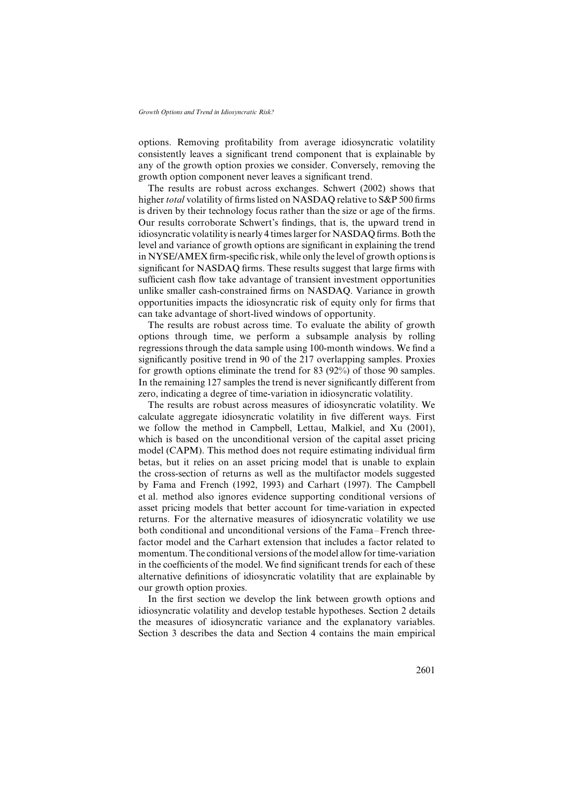options. Removing profitability from average idiosyncratic volatility consistently leaves a significant trend component that is explainable by any of the growth option proxies we consider. Conversely, removing the growth option component never leaves a significant trend.

The results are robust across exchanges. Schwert (2002) shows that higher*total* volatility of firms listed on NASDAQ relative to S&P 500 firms is driven by their technology focus rather than the size or age of the firms. Our results corroborate Schwert's findings, that is, the upward trend in idiosyncratic volatility is nearly 4 times larger for NASDAQ firms. Both the level and variance of growth options are significant in explaining the trend in NYSE/AMEX firm-specific risk, while only the level of growth options is significant for NASDAQ firms. These results suggest that large firms with sufficient cash flow take advantage of transient investment opportunities unlike smaller cash-constrained firms on NASDAQ. Variance in growth opportunities impacts the idiosyncratic risk of equity only for firms that can take advantage of short-lived windows of opportunity.

The results are robust across time. To evaluate the ability of growth options through time, we perform a subsample analysis by rolling regressions through the data sample using 100-month windows. We find a significantly positive trend in 90 of the 217 overlapping samples. Proxies for growth options eliminate the trend for 83 (92%) of those 90 samples. In the remaining 127 samples the trend is never significantly different from zero, indicating a degree of time-variation in idiosyncratic volatility.

The results are robust across measures of idiosyncratic volatility. We calculate aggregate idiosyncratic volatility in five different ways. First we follow the method in Campbell, Lettau, Malkiel, and Xu (2001), which is based on the unconditional version of the capital asset pricing model (CAPM). This method does not require estimating individual firm betas, but it relies on an asset pricing model that is unable to explain the cross-section of returns as well as the multifactor models suggested by Fama and French (1992, 1993) and Carhart (1997). The Campbell et al. method also ignores evidence supporting conditional versions of asset pricing models that better account for time-variation in expected returns. For the alternative measures of idiosyncratic volatility we use both conditional and unconditional versions of the Fama–French threefactor model and the Carhart extension that includes a factor related to momentum. The conditional versions of the model allow for time-variation in the coefficients of the model. We find significant trends for each of these alternative definitions of idiosyncratic volatility that are explainable by our growth option proxies.

In the first section we develop the link between growth options and idiosyncratic volatility and develop testable hypotheses. Section 2 details the measures of idiosyncratic variance and the explanatory variables. Section 3 describes the data and Section 4 contains the main empirical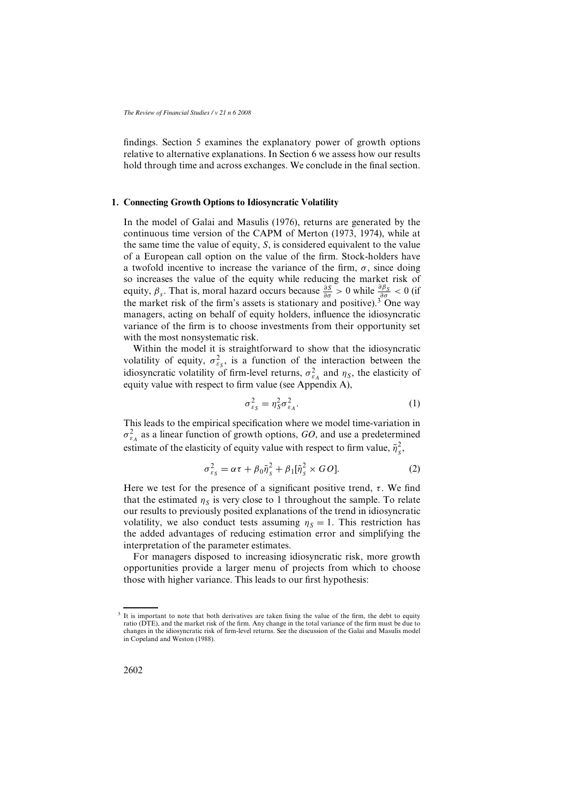findings. Section 5 examines the explanatory power of growth options relative to alternative explanations. In Section 6 we assess how our results hold through time and across exchanges. We conclude in the final section.

## **1. Connecting Growth Options to Idiosyncratic Volatility**

In the model of Galai and Masulis (1976), returns are generated by the continuous time version of the CAPM of Merton (1973, 1974), while at the same time the value of equity, *S*, is considered equivalent to the value of a European call option on the value of the firm. Stock-holders have a twofold incentive to increase the variance of the firm,  $\sigma$ , since doing so increases the value of the equity while reducing the market risk of equity,  $\beta_s$ . That is, moral hazard occurs because  $\frac{\partial S}{\partial \sigma} > 0$  while  $\frac{\partial \beta_s}{\partial \sigma} < 0$  (if the market risk of the firm's assets is stationary and positive).<sup>3</sup> One way managers, acting on behalf of equity holders, influence the idiosyncratic variance of the firm is to choose investments from their opportunity set with the most nonsystematic risk.

Within the model it is straightforward to show that the idiosyncratic volatility of equity,  $\sigma_{\varepsilon_S}^2$ , is a function of the interaction between the idiosyncratic volatility of firm-level returns,  $\sigma_{\varepsilon_A}^2$  and  $\eta_S$ , the elasticity of equity value with respect to firm value (see Appendix A),

$$
\sigma_{\varepsilon_S}^2 = \eta_S^2 \sigma_{\varepsilon_A}^2. \tag{1}
$$

This leads to the empirical specification where we model time-variation in  $\sigma_{\varepsilon_A}^2$  as a linear function of growth options, *GO*, and use a predetermined estimate of the elasticity of equity value with respect to firm value,  $\tilde{\eta}_s^2$ ,

$$
\sigma_{\varepsilon_S}^2 = \alpha \tau + \beta_0 \tilde{\eta}_s^2 + \beta_1 [\tilde{\eta}_s^2 \times GO]. \tag{2}
$$

Here we test for the presence of a significant positive trend,  $\tau$ . We find that the estimated  $\eta_s$  is very close to 1 throughout the sample. To relate our results to previously posited explanations of the trend in idiosyncratic volatility, we also conduct tests assuming  $\eta_s = 1$ . This restriction has the added advantages of reducing estimation error and simplifying the interpretation of the parameter estimates.

For managers disposed to increasing idiosyncratic risk, more growth opportunities provide a larger menu of projects from which to choose those with higher variance. This leads to our first hypothesis:

It is important to note that both derivatives are taken fixing the value of the firm, the debt to equity ratio (DTE), and the market risk of the firm. Any change in the total variance of the firm must be due to changes in the idiosyncratic risk of firm-level returns. See the discussion of the Galai and Masulis model in Copeland and Weston (1988).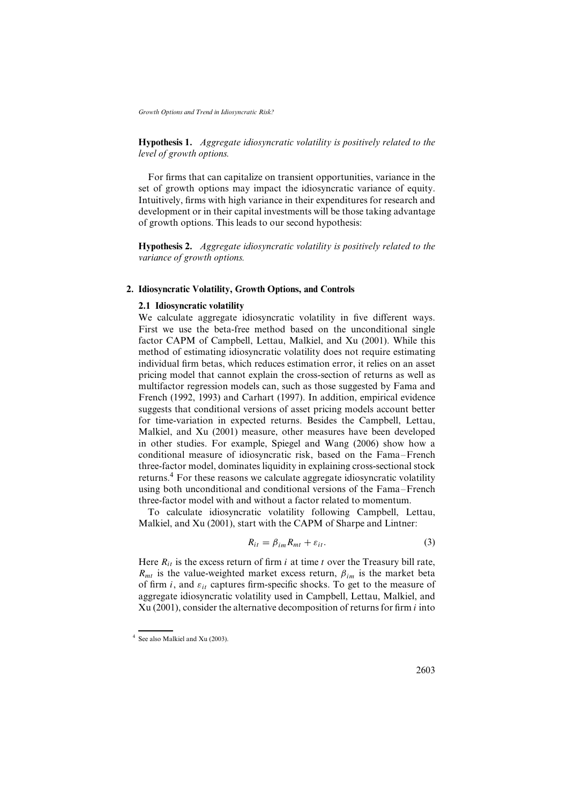**Hypothesis 1.** *Aggregate idiosyncratic volatility is positively related to the level of growth options.*

For firms that can capitalize on transient opportunities, variance in the set of growth options may impact the idiosyncratic variance of equity. Intuitively, firms with high variance in their expenditures for research and development or in their capital investments will be those taking advantage of growth options. This leads to our second hypothesis:

**Hypothesis 2.** *Aggregate idiosyncratic volatility is positively related to the variance of growth options.*

## **2. Idiosyncratic Volatility, Growth Options, and Controls**

## **2.1 Idiosyncratic volatility**

We calculate aggregate idiosyncratic volatility in five different ways. First we use the beta-free method based on the unconditional single factor CAPM of Campbell, Lettau, Malkiel, and Xu (2001). While this method of estimating idiosyncratic volatility does not require estimating individual firm betas, which reduces estimation error, it relies on an asset pricing model that cannot explain the cross-section of returns as well as multifactor regression models can, such as those suggested by Fama and French (1992, 1993) and Carhart (1997). In addition, empirical evidence suggests that conditional versions of asset pricing models account better for time-variation in expected returns. Besides the Campbell, Lettau, Malkiel, and Xu (2001) measure, other measures have been developed in other studies. For example, Spiegel and Wang (2006) show how a conditional measure of idiosyncratic risk, based on the Fama–French three-factor model, dominates liquidity in explaining cross-sectional stock returns.<sup>4</sup> For these reasons we calculate aggregate idiosyncratic volatility using both unconditional and conditional versions of the Fama–French three-factor model with and without a factor related to momentum.

To calculate idiosyncratic volatility following Campbell, Lettau, Malkiel, and Xu (2001), start with the CAPM of Sharpe and Lintner:

$$
R_{it} = \beta_{im} R_{mt} + \varepsilon_{it}.
$$
 (3)

Here  $R_{it}$  is the excess return of firm  $i$  at time  $t$  over the Treasury bill rate,  $R_{mt}$  is the value-weighted market excess return,  $\beta_{im}$  is the market beta of firm *i*, and *εit* captures firm-specific shocks. To get to the measure of aggregate idiosyncratic volatility used in Campbell, Lettau, Malkiel, and Xu (2001), consider the alternative decomposition of returns for firm *i* into

<sup>4</sup> See also Malkiel and Xu (2003).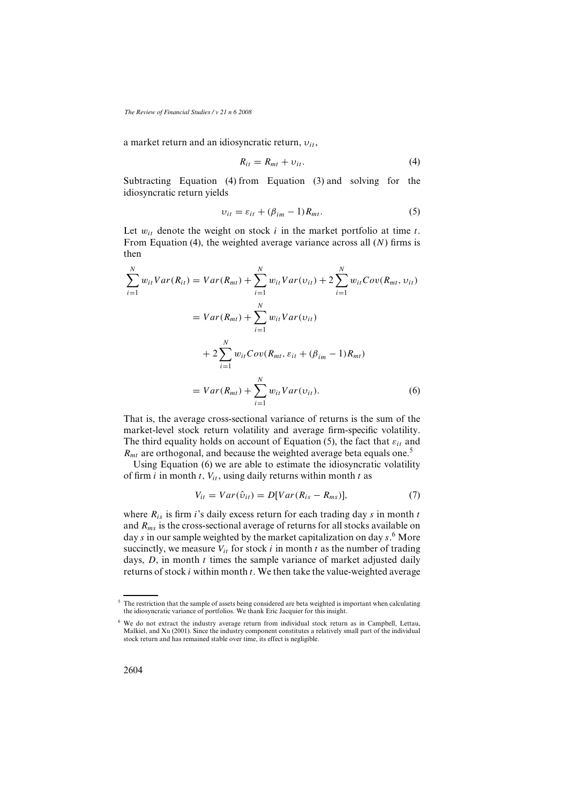*The Review of Financial Studies / v 21 n 6 2008*

a market return and an idiosyncratic return, *υit* ,

$$
R_{it} = R_{mt} + \upsilon_{it}.\tag{4}
$$

Subtracting Equation (4) from Equation (3) and solving for the idiosyncratic return yields

$$
v_{it} = \varepsilon_{it} + (\beta_{im} - 1)R_{mt}.\tag{5}
$$

Let  $w_{it}$  denote the weight on stock  $i$  in the market portfolio at time  $t$ . From Equation (4), the weighted average variance across all (*N*) firms is then

$$
\sum_{i=1}^{N} w_{it}Var(R_{it}) = Var(R_{mt}) + \sum_{i=1}^{N} w_{it}Var(v_{it}) + 2\sum_{i=1}^{N} w_{it}Cov(R_{mt}, v_{it})
$$
  
=  $Var(R_{mt}) + \sum_{i=1}^{N} w_{it}Var(v_{it})$   
+  $2\sum_{i=1}^{N} w_{it}Cov(R_{mt}, \varepsilon_{it} + (\beta_{im} - 1)R_{mt})$   
=  $Var(R_{mt}) + \sum_{i=1}^{N} w_{it}Var(v_{it}).$  (6)

That is, the average cross-sectional variance of returns is the sum of the market-level stock return volatility and average firm-specific volatility. The third equality holds on account of Equation (5), the fact that  $\varepsilon_{it}$  and  $R_{mt}$  are orthogonal, and because the weighted average beta equals one.<sup>5</sup>

Using Equation (6) we are able to estimate the idiosyncratic volatility of firm *i* in month *t*,  $V_{it}$ , using daily returns within month *t* as

$$
V_{it} = Var(\hat{v}_{it}) = D[Var(R_{is} - R_{ms})], \qquad (7)
$$

where *Ris* is firm *i*'s daily excess return for each trading day *s* in month *t* and *Rms* is the cross-sectional average of returns for all stocks available on day *s* in our sample weighted by the market capitalization on day *s*. <sup>6</sup> More succinctly, we measure  $V_{it}$  for stock *i* in month *t* as the number of trading days, *D*, in month *t* times the sample variance of market adjusted daily returns of stock *i* within month *t*. We then take the value-weighted average

<sup>&</sup>lt;sup>5</sup> The restriction that the sample of assets being considered are beta weighted is important when calculating the idiosyncratic variance of portfolios. We thank Eric Jacquier for this insight.

We do not extract the industry average return from individual stock return as in Campbell, Lettau, Malkiel, and Xu (2001). Since the industry component constitutes a relatively small part of the individual stock return and has remained stable over time, its effect is negligible.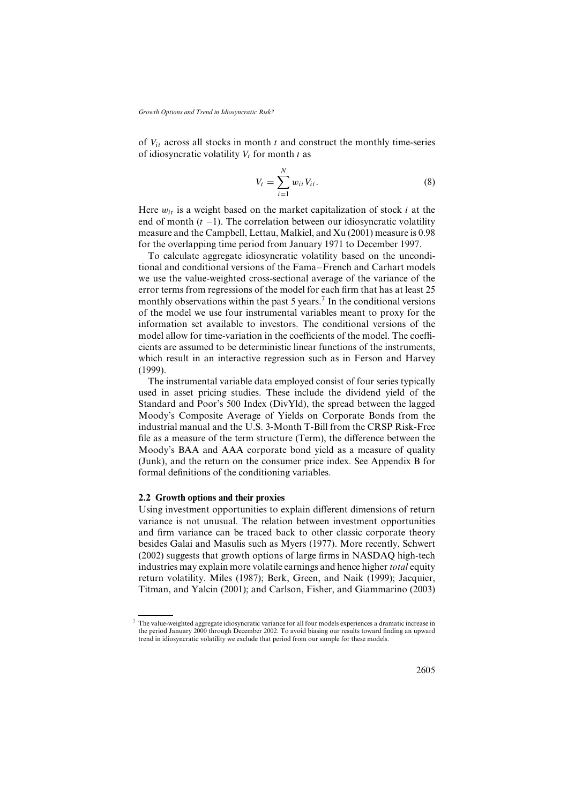of *Vit* across all stocks in month *t* and construct the monthly time-series of idiosyncratic volatility  $V_t$  for month  $t$  as

$$
V_t = \sum_{i=1}^{N} w_{it} V_{it}.
$$
 (8)

Here  $w_{it}$  is a weight based on the market capitalization of stock  $i$  at the end of month  $(t - 1)$ . The correlation between our idiosyncratic volatility measure and the Campbell, Lettau, Malkiel, and Xu (2001) measure is 0.98 for the overlapping time period from January 1971 to December 1997.

To calculate aggregate idiosyncratic volatility based on the unconditional and conditional versions of the Fama–French and Carhart models we use the value-weighted cross-sectional average of the variance of the error terms from regressions of the model for each firm that has at least 25 monthly observations within the past 5 years.<sup>7</sup> In the conditional versions of the model we use four instrumental variables meant to proxy for the information set available to investors. The conditional versions of the model allow for time-variation in the coefficients of the model. The coefficients are assumed to be deterministic linear functions of the instruments, which result in an interactive regression such as in Ferson and Harvey (1999).

The instrumental variable data employed consist of four series typically used in asset pricing studies. These include the dividend yield of the Standard and Poor's 500 Index (DivYld), the spread between the lagged Moody's Composite Average of Yields on Corporate Bonds from the industrial manual and the U.S. 3-Month T-Bill from the CRSP Risk-Free file as a measure of the term structure (Term), the difference between the Moody's BAA and AAA corporate bond yield as a measure of quality (Junk), and the return on the consumer price index. See Appendix B for formal definitions of the conditioning variables.

#### **2.2 Growth options and their proxies**

Using investment opportunities to explain different dimensions of return variance is not unusual. The relation between investment opportunities and firm variance can be traced back to other classic corporate theory besides Galai and Masulis such as Myers (1977). More recently, Schwert (2002) suggests that growth options of large firms in NASDAQ high-tech industries may explain more volatile earnings and hence higher*total* equity return volatility. Miles (1987); Berk, Green, and Naik (1999); Jacquier, Titman, and Yalcin (2001); and Carlson, Fisher, and Giammarino (2003)

 $^7\,$  The value-weighted aggregate idiosyncratic variance for all four models experiences a dramatic increase in the period January 2000 through December 2002. To avoid biasing our results toward finding an upward trend in idiosyncratic volatility we exclude that period from our sample for these models.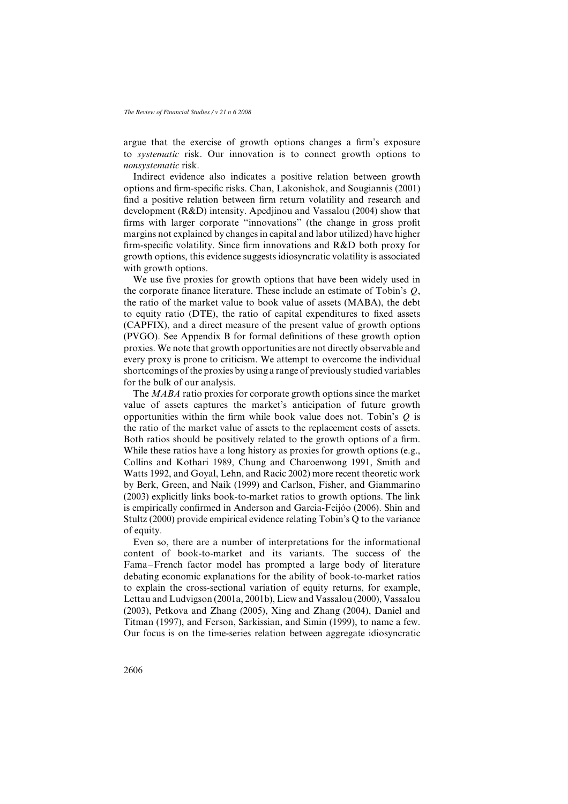argue that the exercise of growth options changes a firm's exposure to *systematic* risk. Our innovation is to connect growth options to *nonsystematic* risk.

Indirect evidence also indicates a positive relation between growth options and firm-specific risks. Chan, Lakonishok, and Sougiannis (2001) find a positive relation between firm return volatility and research and development (R&D) intensity. Apedjinou and Vassalou (2004) show that firms with larger corporate ''innovations'' (the change in gross profit margins not explained by changes in capital and labor utilized) have higher firm-specific volatility. Since firm innovations and R&D both proxy for growth options, this evidence suggests idiosyncratic volatility is associated with growth options.

We use five proxies for growth options that have been widely used in the corporate finance literature. These include an estimate of Tobin's *Q*, the ratio of the market value to book value of assets (MABA), the debt to equity ratio (DTE), the ratio of capital expenditures to fixed assets (CAPFIX), and a direct measure of the present value of growth options (PVGO). See Appendix B for formal definitions of these growth option proxies. We note that growth opportunities are not directly observable and every proxy is prone to criticism. We attempt to overcome the individual shortcomings of the proxies by using a range of previously studied variables for the bulk of our analysis.

The *MABA* ratio proxies for corporate growth options since the market value of assets captures the market's anticipation of future growth opportunities within the firm while book value does not. Tobin's *Q* is the ratio of the market value of assets to the replacement costs of assets. Both ratios should be positively related to the growth options of a firm. While these ratios have a long history as proxies for growth options (e.g., Collins and Kothari 1989, Chung and Charoenwong 1991, Smith and Watts 1992, and Goyal, Lehn, and Racic 2002) more recent theoretic work by Berk, Green, and Naik (1999) and Carlson, Fisher, and Giammarino (2003) explicitly links book-to-market ratios to growth options. The link is empirically confirmed in Anderson and Garcia-Feijóo (2006). Shin and Stultz (2000) provide empirical evidence relating Tobin's Q to the variance of equity.

Even so, there are a number of interpretations for the informational content of book-to-market and its variants. The success of the Fama–French factor model has prompted a large body of literature debating economic explanations for the ability of book-to-market ratios to explain the cross-sectional variation of equity returns, for example, Lettau and Ludvigson (2001a, 2001b), Liew and Vassalou (2000), Vassalou (2003), Petkova and Zhang (2005), Xing and Zhang (2004), Daniel and Titman (1997), and Ferson, Sarkissian, and Simin (1999), to name a few. Our focus is on the time-series relation between aggregate idiosyncratic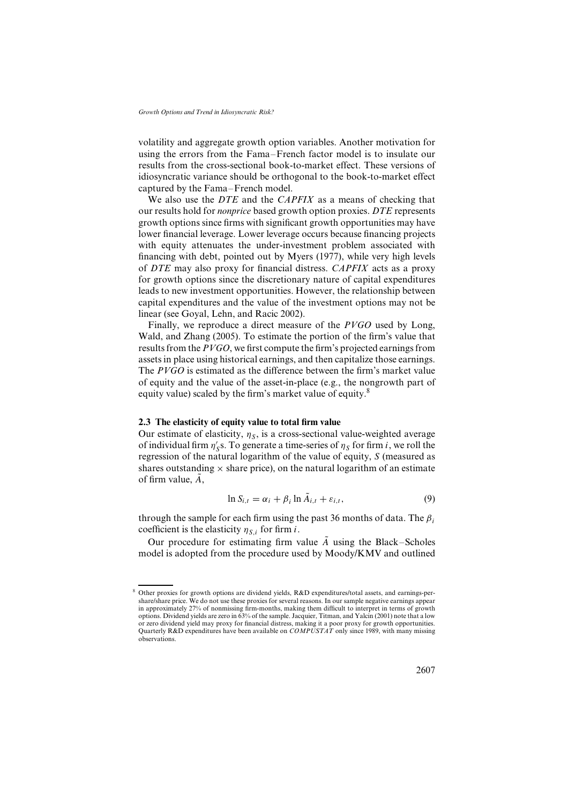volatility and aggregate growth option variables. Another motivation for using the errors from the Fama–French factor model is to insulate our results from the cross-sectional book-to-market effect. These versions of idiosyncratic variance should be orthogonal to the book-to-market effect captured by the Fama–French model.

We also use the *DTE* and the *CAPFIX* as a means of checking that our results hold for *nonprice* based growth option proxies. *DTE* represents growth options since firms with significant growth opportunities may have lower financial leverage. Lower leverage occurs because financing projects with equity attenuates the under-investment problem associated with financing with debt, pointed out by Myers (1977), while very high levels of *DTE* may also proxy for financial distress. *CAPFIX* acts as a proxy for growth options since the discretionary nature of capital expenditures leads to new investment opportunities. However, the relationship between capital expenditures and the value of the investment options may not be linear (see Goyal, Lehn, and Racic 2002).

Finally, we reproduce a direct measure of the *PVGO* used by Long, Wald, and Zhang (2005). To estimate the portion of the firm's value that results from the *PVGO*, we first compute the firm's projected earnings from assets in place using historical earnings, and then capitalize those earnings. The *PVGO* is estimated as the difference between the firm's market value of equity and the value of the asset-in-place (e.g., the nongrowth part of equity value) scaled by the firm's market value of equity.<sup>8</sup>

## **2.3 The elasticity of equity value to total firm value**

Our estimate of elasticity,  $\eta_s$ , is a cross-sectional value-weighted average of individual firm  $\eta'_{S}$ s. To generate a time-series of  $\eta_{S}$  for firm *i*, we roll the regression of the natural logarithm of the value of equity, *S* (measured as shares outstanding  $\times$  share price), on the natural logarithm of an estimate of firm value,  $\tilde{A}$ ,

$$
\ln S_{i,t} = \alpha_i + \beta_i \ln \tilde{A}_{i,t} + \varepsilon_{i,t},\tag{9}
$$

through the sample for each firm using the past 36 months of data. The  $\beta_i$ coefficient is the elasticity  $\eta_{S,i}$  for firm *i*.

Our procedure for estimating firm value  $\tilde{A}$  using the Black–Scholes model is adopted from the procedure used by Moody/KMV and outlined

<sup>8</sup> Other proxies for growth options are dividend yields, R&D expenditures/total assets, and earnings-pershare/share price. We do not use these proxies for several reasons. In our sample negative earnings appear in approximately 27% of nonmissing firm-months, making them difficult to interpret in terms of growth options. Dividend yields are zero in 63% of the sample. Jacquier, Titman, and Yalcin (2001) note that a low or zero dividend yield may proxy for financial distress, making it a poor proxy for growth opportunities. Quarterly R&D expenditures have been available on *COMPUSTAT* only since 1989, with many missing observations.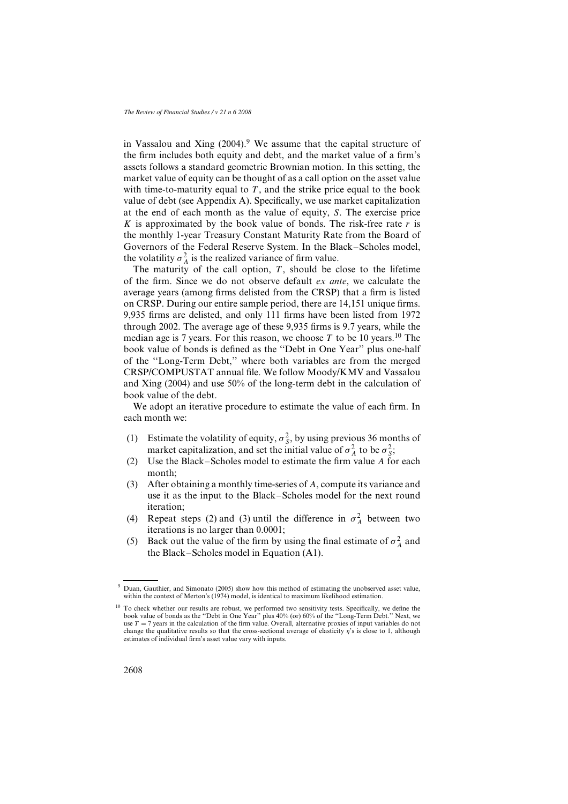in Vassalou and Xing  $(2004)$ .<sup>9</sup> We assume that the capital structure of the firm includes both equity and debt, and the market value of a firm's assets follows a standard geometric Brownian motion. In this setting, the market value of equity can be thought of as a call option on the asset value with time-to-maturity equal to  $T$ , and the strike price equal to the book value of debt (see Appendix A). Specifically, we use market capitalization at the end of each month as the value of equity, *S*. The exercise price *K* is approximated by the book value of bonds. The risk-free rate  $r$  is the monthly 1-year Treasury Constant Maturity Rate from the Board of Governors of the Federal Reserve System. In the Black–Scholes model, the volatility  $\sigma_A^2$  is the realized variance of firm value.

The maturity of the call option,  $T$ , should be close to the lifetime of the firm. Since we do not observe default *ex ante*, we calculate the average years (among firms delisted from the CRSP) that a firm is listed on CRSP. During our entire sample period, there are 14,151 unique firms. 9,935 firms are delisted, and only 111 firms have been listed from 1972 through 2002. The average age of these 9,935 firms is 9.7 years, while the median age is 7 years. For this reason, we choose  $T$  to be 10 years.<sup>10</sup> The book value of bonds is defined as the ''Debt in One Year'' plus one-half of the ''Long-Term Debt,'' where both variables are from the merged CRSP/COMPUSTAT annual file. We follow Moody/KMV and Vassalou and Xing (2004) and use 50% of the long-term debt in the calculation of book value of the debt.

We adopt an iterative procedure to estimate the value of each firm. In each month we:

- (1) Estimate the volatility of equity,  $\sigma_S^2$ , by using previous 36 months of market capitalization, and set the initial value of  $\sigma_A^2$  to be  $\sigma_S^2$ ;
- (2) Use the Black–Scholes model to estimate the firm value *A* for each month;
- (3) After obtaining a monthly time-series of *A*, compute its variance and use it as the input to the Black–Scholes model for the next round iteration;
- (4) Repeat steps (2) and (3) until the difference in  $\sigma_A^2$  between two iterations is no larger than 0.0001;
- (5) Back out the value of the firm by using the final estimate of  $\sigma_A^2$  and the Black–Scholes model in Equation (A1).

Duan, Gauthier, and Simonato (2005) show how this method of estimating the unobserved asset value, within the context of Merton's (1974) model, is identical to maximum likelihood estimation.

<sup>10</sup> To check whether our results are robust, we performed two sensitivity tests. Specifically, we define the book value of bonds as the ''Debt in One Year'' plus 40% (or) 60% of the ''Long-Term Debt.'' Next, we use *T* = 7 years in the calculation of the firm value. Overall, alternative proxies of input variables do not change the qualitative results so that the cross-sectional average of elasticity *η*'s is close to 1, although estimates of individual firm's asset value vary with inputs.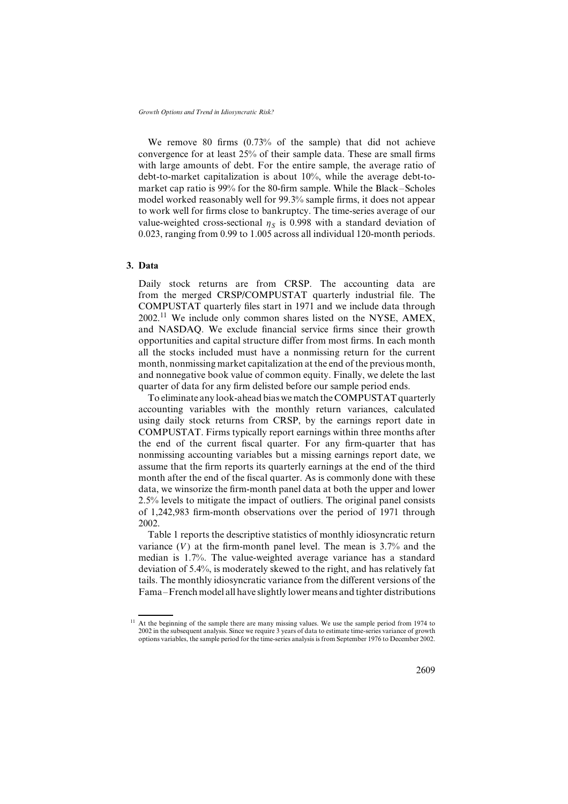We remove 80 firms (0.73% of the sample) that did not achieve convergence for at least 25% of their sample data. These are small firms with large amounts of debt. For the entire sample, the average ratio of debt-to-market capitalization is about 10%, while the average debt-tomarket cap ratio is 99% for the 80-firm sample. While the Black–Scholes model worked reasonably well for 99.3% sample firms, it does not appear to work well for firms close to bankruptcy. The time-series average of our value-weighted cross-sectional  $\eta_s$  is 0.998 with a standard deviation of 0.023, ranging from 0.99 to 1.005 across all individual 120-month periods.

## **3. Data**

Daily stock returns are from CRSP. The accounting data are from the merged CRSP/COMPUSTAT quarterly industrial file. The COMPUSTAT quarterly files start in 1971 and we include data through 2002.11 We include only common shares listed on the NYSE, AMEX, and NASDAQ. We exclude financial service firms since their growth opportunities and capital structure differ from most firms. In each month all the stocks included must have a nonmissing return for the current month, nonmissing market capitalization at the end of the previous month, and nonnegative book value of common equity. Finally, we delete the last quarter of data for any firm delisted before our sample period ends.

To eliminate any look-ahead bias we match the COMPUSTAT quarterly accounting variables with the monthly return variances, calculated using daily stock returns from CRSP, by the earnings report date in COMPUSTAT. Firms typically report earnings within three months after the end of the current fiscal quarter. For any firm-quarter that has nonmissing accounting variables but a missing earnings report date, we assume that the firm reports its quarterly earnings at the end of the third month after the end of the fiscal quarter. As is commonly done with these data, we winsorize the firm-month panel data at both the upper and lower 2.5% levels to mitigate the impact of outliers. The original panel consists of 1,242,983 firm-month observations over the period of 1971 through 2002.

Table 1 reports the descriptive statistics of monthly idiosyncratic return variance  $(V)$  at the firm-month panel level. The mean is  $3.7\%$  and the median is 1.7%. The value-weighted average variance has a standard deviation of 5.4%, is moderately skewed to the right, and has relatively fat tails. The monthly idiosyncratic variance from the different versions of the Fama–French model all have slightly lower means and tighter distributions

<sup>&</sup>lt;sup>11</sup> At the beginning of the sample there are many missing values. We use the sample period from 1974 to 2002 in the subsequent analysis. Since we require 3 years of data to estimate time-series variance of growth options variables, the sample period for the time-series analysis is from September 1976 to December 2002.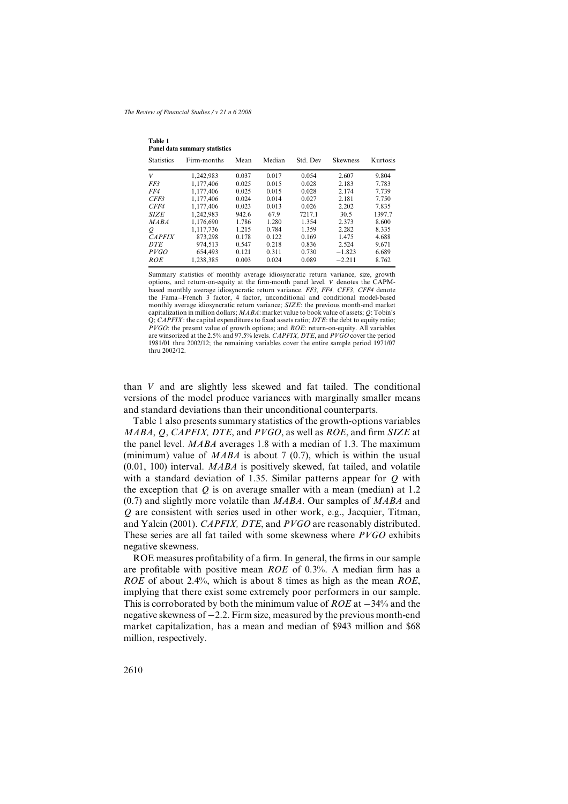*The Review of Financial Studies / v 21 n 6 2008*

**Table 1**

|                   | Panel data summary statistics |       |        |          |                 |          |
|-------------------|-------------------------------|-------|--------|----------|-----------------|----------|
| <b>Statistics</b> | Firm-months                   | Mean  | Median | Std. Dev | <b>Skewness</b> | Kurtosis |
| V                 | 1.242.983                     | 0.037 | 0.017  | 0.054    | 2.607           | 9.804    |
| FF3               | 1.177.406                     | 0.025 | 0.015  | 0.028    | 2.183           | 7.783    |
| FF4               | 1.177.406                     | 0.025 | 0.015  | 0.028    | 2.174           | 7.739    |
| CFF3              | 1.177.406                     | 0.024 | 0.014  | 0.027    | 2.181           | 7.750    |
| CFF4              | 1.177.406                     | 0.023 | 0.013  | 0.026    | 2.202           | 7.835    |
| SIZE              | 1.242.983                     | 942.6 | 67.9   | 7217.1   | 30.5            | 1397.7   |
| MABA              | 1.176.690                     | 1.786 | 1.280  | 1.354    | 2.373           | 8.600    |
| 0                 | 1,117,736                     | 1.215 | 0.784  | 1.359    | 2.282           | 8.335    |
| $CA$ $PFI$ $X$    | 873.298                       | 0.178 | 0.122  | 0.169    | 1.475           | 4.688    |
| <b>DTE</b>        | 974.513                       | 0.547 | 0.218  | 0.836    | 2.524           | 9.671    |
| PVGO              | 654.493                       | 0.121 | 0.311  | 0.730    | $-1.823$        | 6.689    |
| ROE               | 1,238,385                     | 0.003 | 0.024  | 0.089    | $-2.211$        | 8.762    |

Summary statistics of monthly average idiosyncratic return variance, size, growth options, and return-on-equity at the firm-month panel level. *V* denotes the CAPMbased monthly average idiosyncratic return variance. *FF3, FF4, CFF3, CFF4* denote the Fama–French 3 factor, 4 factor, unconditional and conditional model-based monthly average idiosyncratic return variance; *SIZE*: the previous month-end market capitalization in million dollars; *MABA*: market value to book value of assets; *Q*: Tobin's Q; *CAPFIX*: the capital expenditures to fixed assets ratio; *DTE*: the debt to equity ratio; *PVGO*: the present value of growth options; and *ROE*: return-on-equity. All variables are winsorized at the 2.5% and 97.5% levels. *CAPFIX, DTE*, and *PVGO* cover the period 1981/01 thru 2002/12; the remaining variables cover the entire sample period 1971/07 thru 2002/12.

than *V* and are slightly less skewed and fat tailed. The conditional versions of the model produce variances with marginally smaller means and standard deviations than their unconditional counterparts.

Table 1 also presents summary statistics of the growth-options variables *MABA*, *Q*, *CAPFIX, DTE*, and *PVGO*, as well as *ROE*, and firm *SIZE* at the panel level. *MABA* averages 1.8 with a median of 1.3. The maximum (minimum) value of *MABA* is about 7 (0.7), which is within the usual (0.01, 100) interval. *MABA* is positively skewed, fat tailed, and volatile with a standard deviation of 1.35. Similar patterns appear for *Q* with the exception that *Q* is on average smaller with a mean (median) at 1.2 (0.7) and slightly more volatile than *MABA*. Our samples of *MABA* and *Q* are consistent with series used in other work, e.g., Jacquier, Titman, and Yalcin (2001). *CAPFIX, DTE*, and *PVGO* are reasonably distributed. These series are all fat tailed with some skewness where *PVGO* exhibits negative skewness.

ROE measures profitability of a firm. In general, the firms in our sample are profitable with positive mean *ROE* of 0.3%. A median firm has a *ROE* of about 2.4%, which is about 8 times as high as the mean *ROE*, implying that there exist some extremely poor performers in our sample. This is corroborated by both the minimum value of *ROE* at −34% and the negative skewness of −2.2. Firm size, measured by the previous month-end market capitalization, has a mean and median of \$943 million and \$68 million, respectively.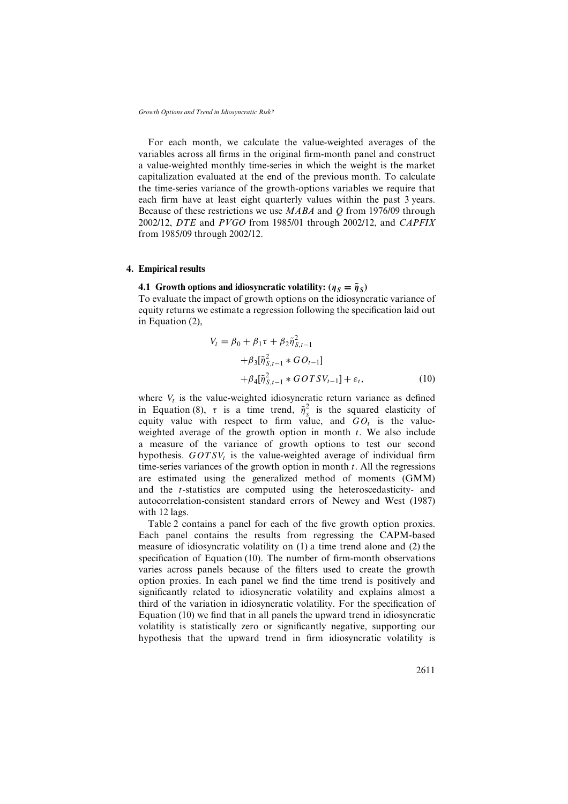For each month, we calculate the value-weighted averages of the variables across all firms in the original firm-month panel and construct a value-weighted monthly time-series in which the weight is the market capitalization evaluated at the end of the previous month. To calculate the time-series variance of the growth-options variables we require that each firm have at least eight quarterly values within the past 3 years. Because of these restrictions we use *MABA* and *Q* from 1976/09 through 2002/12, *DTE* and *PVGO* from 1985/01 through 2002/12, and *CAPFIX* from 1985/09 through 2002/12.

## **4. Empirical results**

## **4.1 Growth options and idiosyncratic volatility:**  $(\eta_S = \tilde{\eta}_S)$

To evaluate the impact of growth options on the idiosyncratic variance of equity returns we estimate a regression following the specification laid out in Equation (2),

$$
V_{t} = \beta_{0} + \beta_{1}\tau + \beta_{2}\tilde{\eta}_{S,t-1}^{2}
$$
  
+ $\beta_{3}[\tilde{\eta}_{S,t-1}^{2} * GO_{t-1}]$   
+ $\beta_{4}[\tilde{\eta}_{S,t-1}^{2} * GOTSV_{t-1}] + \varepsilon_{t},$  (10)

where  $V_t$  is the value-weighted idiosyncratic return variance as defined in Equation (8),  $\tau$  is a time trend,  $\tilde{\eta}_s^2$  is the squared elasticity of equity value with respect to firm value, and  $GO_t$  is the valueweighted average of the growth option in month *t*. We also include a measure of the variance of growth options to test our second hypothesis. *GOTSV<sub>t</sub>* is the value-weighted average of individual firm time-series variances of the growth option in month *t*. All the regressions are estimated using the generalized method of moments (GMM) and the *t*-statistics are computed using the heteroscedasticity- and autocorrelation-consistent standard errors of Newey and West (1987) with 12 lags.

Table 2 contains a panel for each of the five growth option proxies. Each panel contains the results from regressing the CAPM-based measure of idiosyncratic volatility on (1) a time trend alone and (2) the specification of Equation (10). The number of firm-month observations varies across panels because of the filters used to create the growth option proxies. In each panel we find the time trend is positively and significantly related to idiosyncratic volatility and explains almost a third of the variation in idiosyncratic volatility. For the specification of Equation (10) we find that in all panels the upward trend in idiosyncratic volatility is statistically zero or significantly negative, supporting our hypothesis that the upward trend in firm idiosyncratic volatility is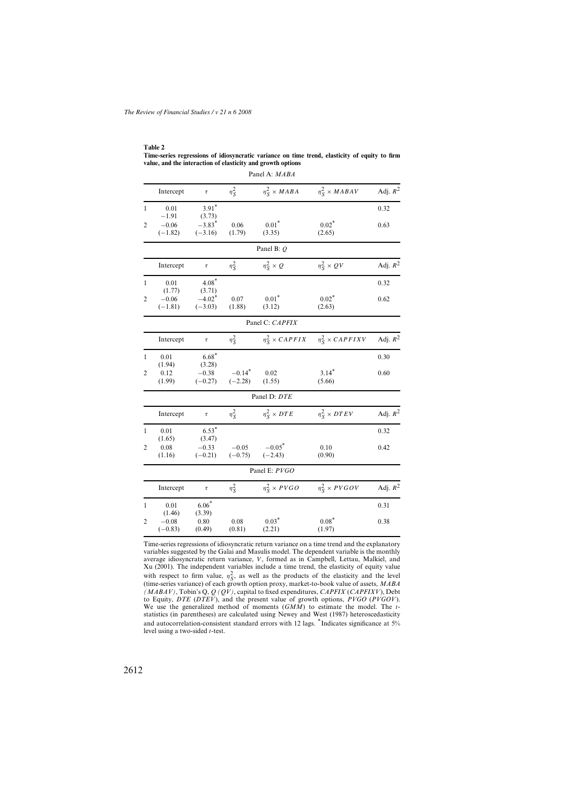#### *The Review of Financial Studies / v 21 n 6 2008*

**Table 2 Time-series regressions of idiosyncratic variance on time trend, elasticity of equity to firm value, and the interaction of elasticity and growth options**

Panel A: *MABA*

|              |                                |                                             |                                   | ганен А. <i>МАБА</i>         |                               |                     |
|--------------|--------------------------------|---------------------------------------------|-----------------------------------|------------------------------|-------------------------------|---------------------|
|              | Intercept                      | $\tau$                                      | $n_S^2$                           | $\eta_S^2 \times MABA$       | $\eta_S^2 \times MABAV$       | Adj. $\mathbb{R}^2$ |
| $\mathbf{1}$ | 0.01<br>$-1.91$                | $3.91*$<br>(3.73)                           |                                   |                              |                               | 0.32                |
| 2            | $-0.06$<br>$(-1.82)$           | $-3.83*$<br>$(-3.16)$                       | 0.06<br>(1.79)                    | $0.01*$<br>(3.35)            | $0.02*$<br>(2.65)             | 0.63                |
|              |                                |                                             |                                   | Panel B: Q                   |                               |                     |
|              | Intercept                      | $\tau$                                      | $n_S^2$                           | $\eta_S^2 \times Q$          | $\eta_S^2 \times QV$          | Adj. $R^2$          |
| 1            | 0.01<br>(1.77)                 | $4.08*$                                     |                                   |                              |                               | 0.32                |
| 2            | $-0.06$<br>$(-1.81)$           | (3.71)<br>$-4.02$ <sup>*</sup><br>$(-3.03)$ | 0.07<br>(1.88)                    | $0.01*$<br>(3.12)            | $0.02*$<br>(2.63)             | 0.62                |
|              |                                |                                             |                                   | Panel C: CAPFIX              |                               |                     |
|              | Intercept                      | $\tau$                                      | $n_S^2$                           | $\eta_S^2 \times CAPFIX$     | $\eta_S^2 \times CAPFIXV$     | Adj. $R^2$          |
| 1            | 0.01<br>(1.94)                 | $6.68*$<br>(3.28)                           |                                   |                              |                               | 0.30                |
| 2            | 0.12<br>(1.99)                 | $-0.38$<br>$(-0.27)$                        | $-0.14$ <sup>*</sup><br>$(-2.28)$ | 0.02<br>(1.55)               | $3.14*$<br>(5.66)             | 0.60                |
|              |                                |                                             |                                   | Panel D: DTE                 |                               |                     |
|              | Intercept                      | $\tau$                                      | $n_S^2$                           | $\eta_S^2 \times DTE$        | $\eta_S^2 \times DTEV$        | Adj. $R^2$          |
| 1            | 0.01<br>(1.65)                 | $6.53*$<br>(3.47)                           |                                   |                              |                               | 0.32                |
| 2            | 0.08<br>(1.16)                 | $-0.33$<br>$(-0.21)$                        | $-0.05$<br>$(-0.75)$              | $-0.05^*$<br>$(-2.43)$       | 0.10<br>(0.90)                | 0.42                |
|              |                                |                                             |                                   | Panel E: PVGO                |                               |                     |
|              | Intercept                      | $\tau$                                      | $n_S^2$                           | $\eta_{\rm S}^2 \times PVGO$ | $\eta_{\rm S}^2 \times PVGOV$ | Adj. $R^2$          |
| 1            | 0.01                           | $6.06*$                                     |                                   |                              |                               | 0.31                |
| 2            | (1.46)<br>$-0.08$<br>$(-0.83)$ | (3.39)<br>0.80<br>(0.49)                    | 0.08<br>(0.81)                    | $0.03*$<br>(2.21)            | $0.08*$<br>(1.97)             | 0.38                |

Time-series regressions of idiosyncratic return variance on a time trend and the explanatory variables suggested by the Galai and Masulis model. The dependent variable is the monthly average idiosyncratic return variance, *V*, formed as in Campbell, Lettau, Malkiel, and Xu (2001). The independent variables include a time trend, the elasticity of equity value with respect to firm value,  $\eta_S^2$ , as well as the products of the elasticity and the level (time-series variance) of each growth option proxy, market-to-book value of assets, *MABA (MABAV)*, Tobin's Q, *Q (QV)*, capital to fixed expenditures, *CAPFIX* (*CAPFIXV*), Debt to Equity, *DTE* (*DTEV*), and the present value of growth options, *PVGO* (*PVGOV*). We use the generalized method of moments (*GMM*) to estimate the model. The *t*-<br>statistics (in parentheses) are calculated using Newey and West (1987) heteroscedasticity and autocorrelation-consistent standard errors with 12 lags. \*Indicates significance at 5% level using a two-sided *t*-test.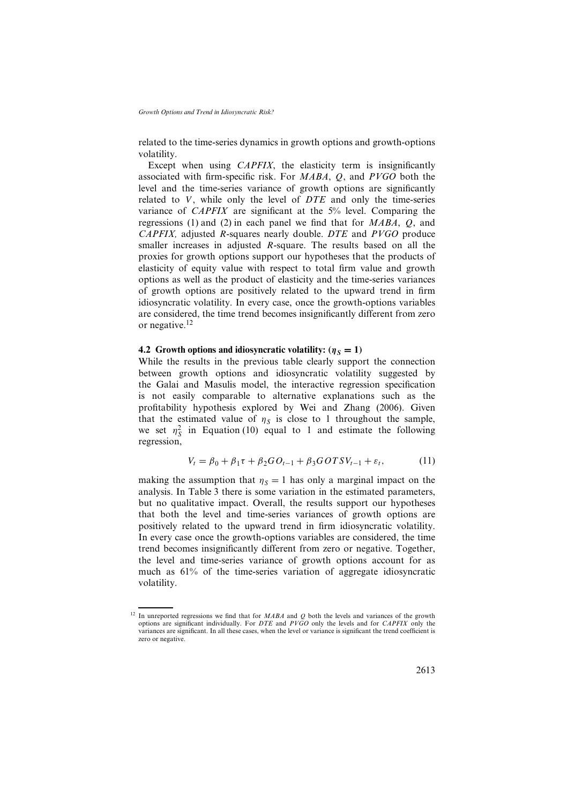related to the time-series dynamics in growth options and growth-options volatility.

Except when using *CAPFIX*, the elasticity term is insignificantly associated with firm-specific risk. For *MABA*, *Q*, and *PVGO* both the level and the time-series variance of growth options are significantly related to *V*, while only the level of *DTE* and only the time-series variance of *CAPFIX* are significant at the 5% level. Comparing the regressions (1) and (2) in each panel we find that for *MABA*, *Q*, and *CAPFIX,* adjusted *R*-squares nearly double. *DTE* and *PVGO* produce smaller increases in adjusted *R*-square. The results based on all the proxies for growth options support our hypotheses that the products of elasticity of equity value with respect to total firm value and growth options as well as the product of elasticity and the time-series variances of growth options are positively related to the upward trend in firm idiosyncratic volatility. In every case, once the growth-options variables are considered, the time trend becomes insignificantly different from zero or negative.12

## **4.2 Growth options and idiosyncratic volatility:**  $(\eta_S = 1)$

While the results in the previous table clearly support the connection between growth options and idiosyncratic volatility suggested by the Galai and Masulis model, the interactive regression specification is not easily comparable to alternative explanations such as the profitability hypothesis explored by Wei and Zhang (2006). Given that the estimated value of  $\eta_s$  is close to 1 throughout the sample, we set  $\eta_S^2$  in Equation (10) equal to 1 and estimate the following regression,

$$
V_t = \beta_0 + \beta_1 \tau + \beta_2 GO_{t-1} + \beta_3 GOTSV_{t-1} + \varepsilon_t, \tag{11}
$$

making the assumption that  $\eta_s = 1$  has only a marginal impact on the analysis. In Table 3 there is some variation in the estimated parameters, but no qualitative impact. Overall, the results support our hypotheses that both the level and time-series variances of growth options are positively related to the upward trend in firm idiosyncratic volatility. In every case once the growth-options variables are considered, the time trend becomes insignificantly different from zero or negative. Together, the level and time-series variance of growth options account for as much as 61% of the time-series variation of aggregate idiosyncratic volatility.

<sup>&</sup>lt;sup>12</sup> In unreported regressions we find that for *MABA* and *Q* both the levels and variances of the growth options are significant individually. For *DTE* and *PVGO* only the levels and for *CAPFIX* only the variances are significant. In all these cases, when the level or variance is significant the trend coefficient is zero or negative.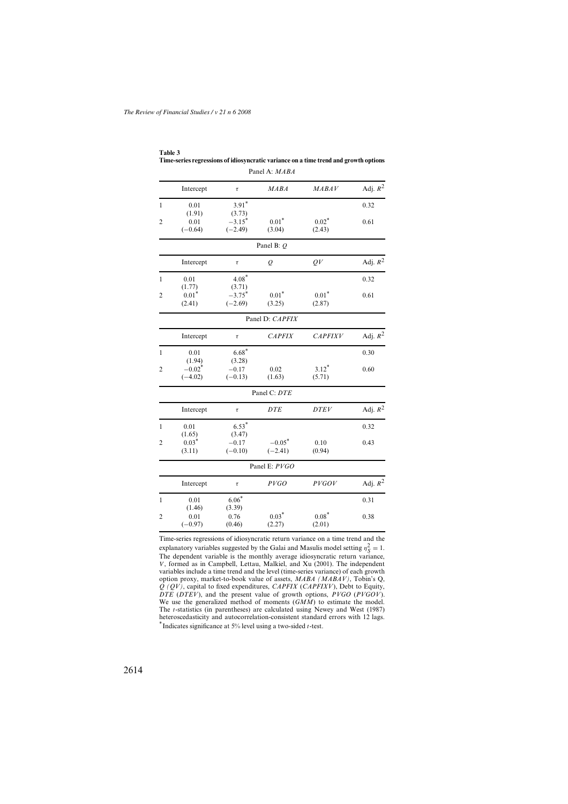#### *The Review of Financial Studies / v 21 n 6 2008*

**Table 3 Time-series regressions of idiosyncratic variance on a time trend and growth options**

|              |                                   |                                   | Panel A: MABA          |                    |            |
|--------------|-----------------------------------|-----------------------------------|------------------------|--------------------|------------|
|              | Intercept                         | $\tau$                            | <b>MABA</b>            | MABAV              | Adj. $R^2$ |
| 1            | 0.01<br>(1.91)                    | $3.91*$<br>(3.73)                 |                        |                    | 0.32       |
| 2            | 0.01<br>$(-0.64)$                 | $-3.15$ <sup>*</sup><br>$(-2.49)$ | $0.01*$<br>(3.04)      | $0.02^*$<br>(2.43) | 0.61       |
|              |                                   |                                   | Panel B: Q             |                    |            |
|              | Intercept                         | τ                                 | Q                      | QV                 | Adj. $R^2$ |
| 1            | 0.01<br>(1.77)                    | $4.08*$<br>(3.71)                 |                        |                    | 0.32       |
| 2            | $0.01*$<br>(2.41)                 | $-3.75$ <sup>*</sup><br>$(-2.69)$ | $0.01*$<br>(3.25)      | $0.01*$<br>(2.87)  | 0.61       |
|              |                                   |                                   | Panel D: CAPFIX        |                    |            |
|              | Intercept                         | $\tau$                            | <b>CAPFIX</b>          | <b>CAPFIXV</b>     | Adj. $R^2$ |
| $\mathbf{1}$ | 0.01<br>(1.94)                    | $6.68*$<br>(3.28)                 |                        |                    | 0.30       |
| 2            | $-0.02$ <sup>*</sup><br>$(-4.02)$ | $-0.17$<br>$(-0.13)$              | 0.02<br>(1.63)         | $3.12*$<br>(5.71)  | 0.60       |
|              |                                   |                                   | Panel C: DTE           |                    |            |
|              | Intercept                         | $\tau$                            | DTE                    | <b>DTEV</b>        | Adj. $R^2$ |
| 1            | 0.01<br>(1.65)                    | $6.53*$<br>(3.47)                 |                        |                    | 0.32       |
| 2            | $0.03*$<br>(3.11)                 | $-0.17$<br>$(-0.10)$              | $-0.05^*$<br>$(-2.41)$ | 0.10<br>(0.94)     | 0.43       |
|              |                                   |                                   | Panel E: PVGO          |                    |            |
|              | Intercept                         | $\tau$                            | <b>PVGO</b>            | <b>PVGOV</b>       | Adj. $R^2$ |
| 1            | 0.01<br>(1.46)                    | $6.06*$<br>(3.39)                 |                        |                    | 0.31       |
| 2            | 0.01<br>$(-0.97)$                 | 0.76<br>(0.46)                    | $0.03*$<br>(2.27)      | $0.08*$<br>(2.01)  | 0.38       |

Time-series regressions of idiosyncratic return variance on a time trend and the explanatory variables suggested by the Galai and Masulis model setting  $\eta_S^2 = 1$ . The dependent variable is the monthly average idiosyncratic return variance, <br>V, formed as in Campbell, Lettau, Malkiel, and Xu (2001). The independent<br>variables include a time trend and the level (time-series variance) of option proxy, market-to-book value of assets, *MABA (MABAV)*, Tobin's Q, *Q (QV)*, capital to fixed expenditures, *CAPFIX* (*CAPFIXV*), Debt to Equity, *DTE* (*DTEV*), and the present value of growth options, *PVGO* (*PVGOV*). We use the generalized method of moments (*GMM*) to estimate the model. The *t*-statistics (in parentheses) are calculated using Newey and West (1987) heteroscedasticity and autocorrelation-consistent standard errors with 12 lags. \*Indicates significance at 5% level using a two-sided *t*-test.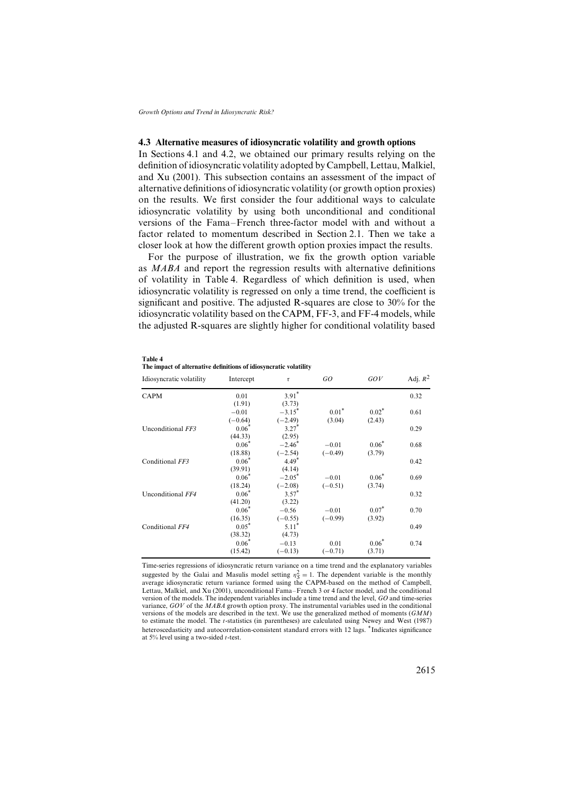## **4.3 Alternative measures of idiosyncratic volatility and growth options**

In Sections 4.1 and 4.2, we obtained our primary results relying on the definition of idiosyncratic volatility adopted by Campbell, Lettau, Malkiel, and Xu (2001). This subsection contains an assessment of the impact of alternative definitions of idiosyncratic volatility (or growth option proxies) on the results. We first consider the four additional ways to calculate idiosyncratic volatility by using both unconditional and conditional versions of the Fama–French three-factor model with and without a factor related to momentum described in Section 2.1. Then we take a closer look at how the different growth option proxies impact the results.

For the purpose of illustration, we fix the growth option variable as *MABA* and report the regression results with alternative definitions of volatility in Table 4. Regardless of which definition is used, when idiosyncratic volatility is regressed on only a time trend, the coefficient is significant and positive. The adjusted R-squares are close to 30% for the idiosyncratic volatility based on the CAPM, FF-3, and FF-4 models, while the adjusted R-squares are slightly higher for conditional volatility based

| Idiosyncratic volatility | Intercept | τ                    | GO        | GOV     | Adj. $R^2$ |
|--------------------------|-----------|----------------------|-----------|---------|------------|
| <b>CAPM</b>              | 0.01      | $3.91*$              |           |         | 0.32       |
|                          | (1.91)    | (3.73)               |           |         |            |
|                          | $-0.01$   | $-3.15$ <sup>*</sup> | $0.01*$   | $0.02*$ | 0.61       |
|                          | $(-0.64)$ | $(-2.49)$            | (3.04)    | (2.43)  |            |
| Unconditional FF3        | $0.06*$   | $3.27*$              |           |         | 0.29       |
|                          | (44.33)   | (2.95)               |           |         |            |
|                          | $0.06*$   | $-2.46*$             | $-0.01$   | $0.06*$ | 0.68       |
|                          | (18.88)   | $(-2.54)$            | $(-0.49)$ | (3.79)  |            |
| Conditional FF3          | $0.06*$   | $4.49*$              |           |         | 0.42       |
|                          | (39.91)   | (4.14)               |           |         |            |
|                          | $0.06*$   | $-2.05^*$            | $-0.01$   | $0.06*$ | 0.69       |
|                          | (18.24)   | $(-2.08)$            | $(-0.51)$ | (3.74)  |            |
| Unconditional FF4        | $0.06*$   | $3.57*$              |           |         | 0.32       |
|                          | (41.20)   | (3.22)               |           |         |            |
|                          | $0.06*$   | $-0.56$              | $-0.01$   | $0.07*$ | 0.70       |
|                          | (16.35)   | $(-0.55)$            | $(-0.99)$ | (3.92)  |            |
| Conditional FF4          | $0.05*$   | $5.11$ <sup>*</sup>  |           |         | 0.49       |
|                          | (38.32)   | (4.73)               |           |         |            |
|                          | $0.06*$   | $-0.13$              | 0.01      | $0.06*$ | 0.74       |
|                          | (15.42)   | $(-0.13)$            | $(-0.71)$ | (3.71)  |            |
|                          |           |                      |           |         |            |

| Table 4                                                           |  |
|-------------------------------------------------------------------|--|
| The impact of alternative definitions of idiosyncratic volatility |  |

Time-series regressions of idiosyncratic return variance on a time trend and the explanatory variables suggested by the Galai and Masulis model setting  $\eta_S^2 = 1$ . The dependent variable is the monthly average idiosyncratic return variance formed using the CAPM-based on the method of Campbell, Lettau, Malkiel, and Xu (2001), unconditional Fama–French 3 or 4 factor model, and the conditional version of the models. The independent variables include a time trend and the level, *GO* and time-series variance, *GOV* of the *MABA* growth option proxy. The instrumental variables used in the conditional versions of the models are described in the text. We use the generalized method of moments (*GMM*) to estimate the model. The *t*-statistics (in parentheses) are calculated using Newey and West (1987) heteroscedasticity and autocorrelation-consistent standard errors with 12 lags. \*Indicates significance at 5% level using a two-sided *t*-test.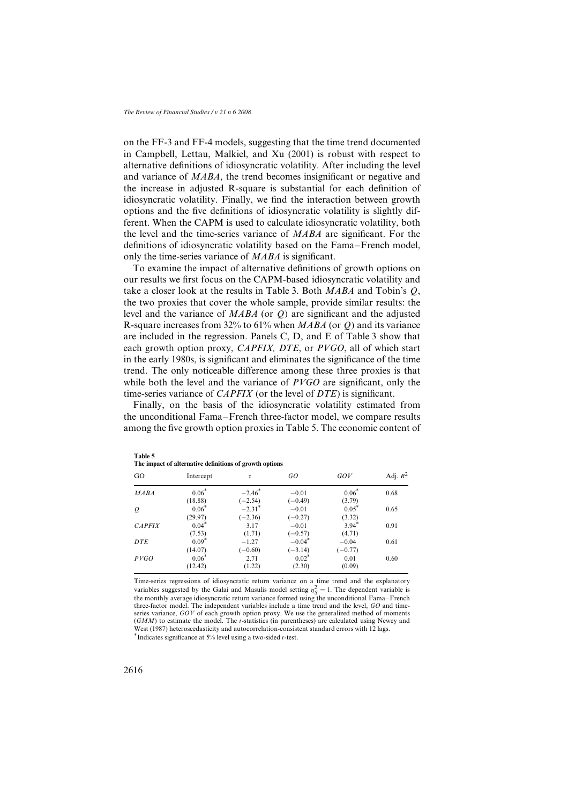on the FF-3 and FF-4 models, suggesting that the time trend documented in Campbell, Lettau, Malkiel, and Xu (2001) is robust with respect to alternative definitions of idiosyncratic volatility. After including the level and variance of *MABA*, the trend becomes insignificant or negative and the increase in adjusted R-square is substantial for each definition of idiosyncratic volatility. Finally, we find the interaction between growth options and the five definitions of idiosyncratic volatility is slightly different. When the CAPM is used to calculate idiosyncratic volatility, both the level and the time-series variance of *MABA* are significant. For the definitions of idiosyncratic volatility based on the Fama–French model, only the time-series variance of *MABA* is significant.

To examine the impact of alternative definitions of growth options on our results we first focus on the CAPM-based idiosyncratic volatility and take a closer look at the results in Table 3. Both *MABA* and Tobin's *Q*, the two proxies that cover the whole sample, provide similar results: the level and the variance of *MABA* (or *Q)* are significant and the adjusted R-square increases from 32% to 61% when *MABA* (or *Q)* and its variance are included in the regression. Panels C, D, and E of Table 3 show that each growth option proxy, *CAPFIX, DTE*, or *PVGO*, all of which start in the early 1980s, is significant and eliminates the significance of the time trend. The only noticeable difference among these three proxies is that while both the level and the variance of *PVGO* are significant, only the time-series variance of *CAPFIX* (or the level of *DTE*) is significant.

Finally, on the basis of the idiosyncratic volatility estimated from the unconditional Fama–French three-factor model, we compare results among the five growth option proxies in Table 5. The economic content of

|                   | The impact of alternative definitions of growth options |                                   |                       |                      |            |
|-------------------|---------------------------------------------------------|-----------------------------------|-----------------------|----------------------|------------|
| GO                | Intercept                                               | τ                                 | GO                    | GOV                  | Adj. $R^2$ |
| MABA              | $0.06*$<br>(18.88)                                      | $-2.46^*$<br>$(-2.54)$            | $-0.01$<br>$(-0.49)$  | $0.06*$<br>(3.79)    | 0.68       |
| Q                 | $0.06^*$<br>(29.97)                                     | $-2.31$ <sup>*</sup><br>$(-2.36)$ | $-0.01$<br>$(-0.27)$  | $0.05^*$<br>(3.32)   | 0.65       |
| <b>CAPFIX</b>     | $0.04*$<br>(7.53)                                       | 3.17<br>(1.71)                    | $-0.01$<br>$(-0.57)$  | $3.94*$<br>(4.71)    | 0.91       |
| <b>DTE</b>        | $0.09*$<br>(14.07)                                      | $-1.27$<br>$(-0.60)$              | $-0.04*$<br>$(-3.14)$ | $-0.04$<br>$(-0.77)$ | 0.61       |
| PV <sub>G</sub> O | $0.06^{\circ}$<br>(12.42)                               | 2.71<br>(1.22)                    | $0.02*$<br>(2.30)     | 0.01<br>(0.09)       | 0.60       |

Time-series regressions of idiosyncratic return variance on a time trend and the explanatory variables suggested by the Galai and Masulis model setting  $\eta_S^2 = 1$ . The dependent variable is the monthly average idiosyncratic return variance formed using the unconditional Fama–French three-factor model. The independent variables include a time trend and the level, *GO* and timeseries variance, *GOV* of each growth option proxy. We use the generalized method of moments (*GMM*) to estimate the model. The *t*-statistics (in parentheses) are calculated using Newey and West (1987) heteroscedasticity and autocorrelation-consistent standard errors with 12 lags.

\*Indicates significance at 5% level using a two-sided *t*-test.

**Table 5**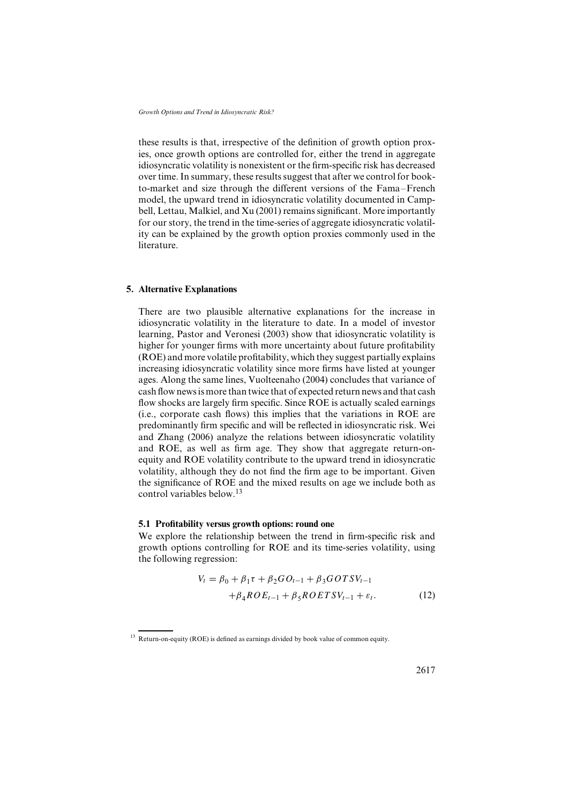these results is that, irrespective of the definition of growth option proxies, once growth options are controlled for, either the trend in aggregate idiosyncratic volatility is nonexistent or the firm-specific risk has decreased over time. In summary, these results suggest that after we control for bookto-market and size through the different versions of the Fama–French model, the upward trend in idiosyncratic volatility documented in Campbell, Lettau, Malkiel, and Xu (2001) remains significant. More importantly for our story, the trend in the time-series of aggregate idiosyncratic volatility can be explained by the growth option proxies commonly used in the literature.

## **5. Alternative Explanations**

There are two plausible alternative explanations for the increase in idiosyncratic volatility in the literature to date. In a model of investor learning, Pastor and Veronesi (2003) show that idiosyncratic volatility is higher for younger firms with more uncertainty about future profitability (ROE) and more volatile profitability, which they suggest partially explains increasing idiosyncratic volatility since more firms have listed at younger ages. Along the same lines, Vuolteenaho (2004) concludes that variance of cash flow news is more than twice that of expected return news and that cash flow shocks are largely firm specific. Since ROE is actually scaled earnings (i.e., corporate cash flows) this implies that the variations in ROE are predominantly firm specific and will be reflected in idiosyncratic risk. Wei and Zhang (2006) analyze the relations between idiosyncratic volatility and ROE, as well as firm age. They show that aggregate return-onequity and ROE volatility contribute to the upward trend in idiosyncratic volatility, although they do not find the firm age to be important. Given the significance of ROE and the mixed results on age we include both as control variables below.<sup>13</sup>

#### **5.1 Profitability versus growth options: round one**

We explore the relationship between the trend in firm-specific risk and growth options controlling for ROE and its time-series volatility, using the following regression:

$$
V_{t} = \beta_{0} + \beta_{1}\tau + \beta_{2}GO_{t-1} + \beta_{3}GOTSV_{t-1} + \beta_{4}ROE_{t-1} + \beta_{5}ROETSV_{t-1} + \varepsilon_{t}.
$$
 (12)

<sup>&</sup>lt;sup>13</sup> Return-on-equity (ROE) is defined as earnings divided by book value of common equity.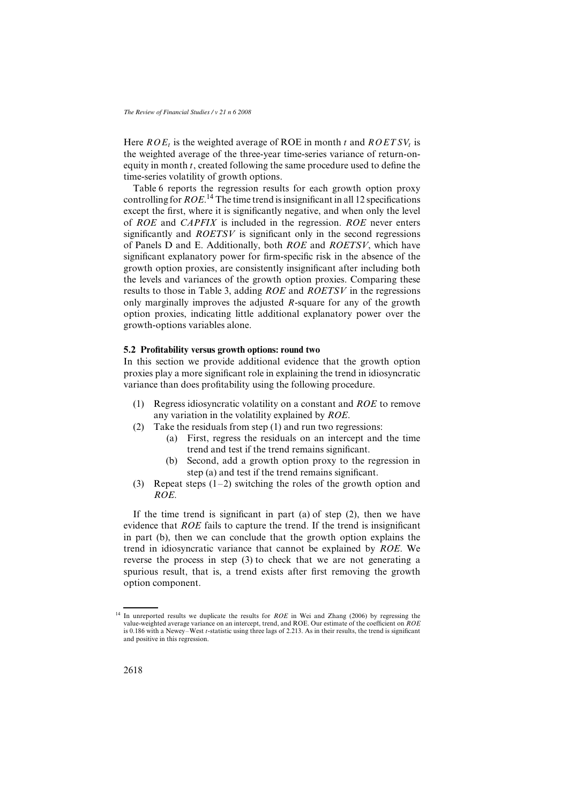Here  $ROE_t$  is the weighted average of ROE in month *t* and  $ROETSV_t$  is the weighted average of the three-year time-series variance of return-onequity in month *t*, created following the same procedure used to define the time-series volatility of growth options.

Table 6 reports the regression results for each growth option proxy controlling for *ROE*. <sup>14</sup> The time trend is insignificant in all 12 specifications except the first, where it is significantly negative, and when only the level of *ROE* and *CAPFIX* is included in the regression. *ROE* never enters significantly and *ROETSV* is significant only in the second regressions of Panels D and E. Additionally, both *ROE* and *ROETSV*, which have significant explanatory power for firm-specific risk in the absence of the growth option proxies, are consistently insignificant after including both the levels and variances of the growth option proxies. Comparing these results to those in Table 3, adding *ROE* and *ROETSV* in the regressions only marginally improves the adjusted *R*-square for any of the growth option proxies, indicating little additional explanatory power over the growth-options variables alone.

## **5.2 Profitability versus growth options: round two**

In this section we provide additional evidence that the growth option proxies play a more significant role in explaining the trend in idiosyncratic variance than does profitability using the following procedure.

- (1) Regress idiosyncratic volatility on a constant and *ROE* to remove any variation in the volatility explained by *ROE*.
- (2) Take the residuals from step (1) and run two regressions:
	- (a) First, regress the residuals on an intercept and the time trend and test if the trend remains significant.
	- (b) Second, add a growth option proxy to the regression in step (a) and test if the trend remains significant.
- (3) Repeat steps  $(1-2)$  switching the roles of the growth option and *ROE*.

If the time trend is significant in part (a) of step  $(2)$ , then we have evidence that *ROE* fails to capture the trend. If the trend is insignificant in part (b), then we can conclude that the growth option explains the trend in idiosyncratic variance that cannot be explained by *ROE*. We reverse the process in step (3) to check that we are not generating a spurious result, that is, a trend exists after first removing the growth option component.

<sup>&</sup>lt;sup>14</sup> In unreported results we duplicate the results for *ROE* in Wei and Zhang (2006) by regressing the value-weighted average variance on an intercept, trend, and ROE. Our estimate of the coefficient on *ROE* is 0.186 with a Newey–West *t*-statistic using three lags of 2.213. As in their results, the trend is significant and positive in this regression.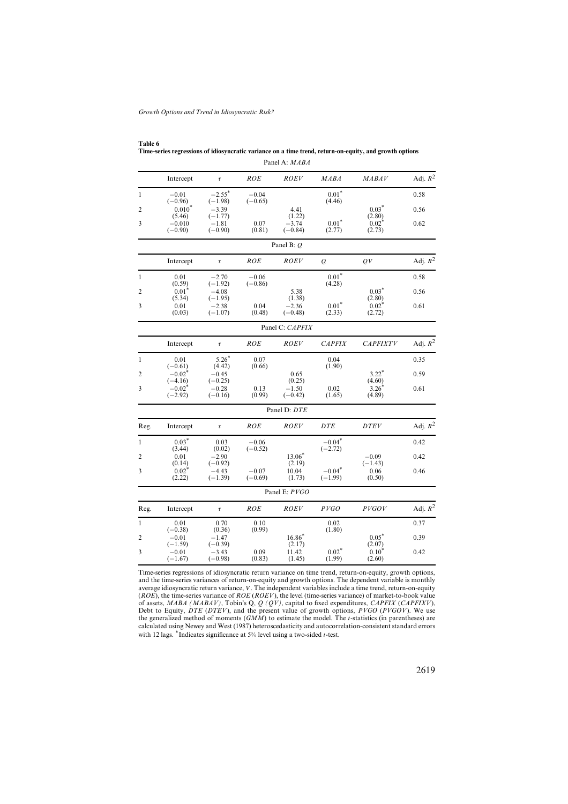| Table 6<br>Time-series regressions of idiosyncratic variance on a time trend, return-on-equity, and growth options |
|--------------------------------------------------------------------------------------------------------------------|
| Panel A: <i>MABA</i>                                                                                               |

|                | Intercept                                      | $\tau$                            | <b>ROE</b>           | ROEV                           | <b>MABA</b>           | MABAV                                   | Adj. $R^2$ |
|----------------|------------------------------------------------|-----------------------------------|----------------------|--------------------------------|-----------------------|-----------------------------------------|------------|
| $\mathbf{1}$   | $-0.01$<br>$(-0.96)$                           | $-2.55$ <sup>*</sup><br>$(-1.98)$ | $-0.04$<br>$(-0.65)$ |                                | $0.01*$<br>(4.46)     |                                         | 0.58       |
| $\overline{2}$ | $0.010*$<br>(5.46)                             | $-3.39$<br>$(-1.77)$              |                      | 4.41<br>(1.22)                 |                       | $0.03^*$<br>(2.80)                      | 0.56       |
| 3              | $-0.010$<br>$(-0.90)$                          | $-1.81$<br>$(-0.90)$              | 0.07<br>(0.81)       | $-3.74$<br>$(-0.84)$           | $0.01*$<br>(2.77)     | $0.02^{7}$<br>(2.73)                    | 0.62       |
|                |                                                |                                   |                      | Panel B: Q                     |                       |                                         |            |
|                | Intercept                                      | $\tau$                            | <b>ROE</b>           | <b>ROEV</b>                    | $\varrho$             | O <sub>V</sub>                          | Adj. $R^2$ |
| 1              | 0.01<br>(0.59)                                 | $-2.70$<br>$(-1.92)$              | $-0.06$<br>$(-0.86)$ |                                | $0.01*$<br>(4.28)     |                                         | 0.58       |
| 2              | $0.01^{\degree}$                               | $-4.08$                           |                      | 5.38                           |                       | $0.03^*$                                | 0.56       |
| 3              | (5.34)<br>0.01<br>(0.03)                       | $(-1.95)$<br>$-2.38$<br>$(-1.07)$ | 0.04<br>(0.48)       | (1.38)<br>$-2.36$<br>$(-0.48)$ | $0.01*$<br>(2.33)     | (2.80)<br>$0.02^*$<br>(2.72)            | 0.61       |
|                |                                                |                                   |                      | Panel C: CAPFIX                |                       |                                         |            |
|                | Intercept                                      | $\tau$                            | <b>ROE</b>           | <b>ROEV</b>                    | <b>CAPFIX</b>         | <b>CAPFIXTV</b>                         | Adj. $R^2$ |
| $\mathbf{1}$   | 0.01                                           | $5.26*$<br>(4.42)                 | 0.07                 |                                | 0.04<br>(1.90)        |                                         | 0.35       |
| 2              | $(-0.61)$<br>$-0.02$ <sup>*</sup>              | $-0.45$                           | (0.66)               | 0.65                           |                       | $3.22$ <sup>*</sup>                     | 0.59       |
| 3              | $(-4.16)$<br>$-0.02$ <sup>*</sup><br>$(-2.92)$ | $(-0.25)$<br>$-0.28$<br>$(-0.16)$ | 0.13<br>(0.99)       | (0.25)<br>$-1.50$<br>$(-0.42)$ | 0.02<br>(1.65)        | (4.60)<br>$3.26$ <sup>*</sup><br>(4.89) | 0.61       |
|                |                                                |                                   |                      | Panel D: DTE                   |                       |                                         |            |
| Reg.           | Intercept                                      | $\tau$                            | <b>ROE</b>           | ROEV                           | <b>DTE</b>            | <b>DTEV</b>                             | Adj. $R^2$ |
| $\mathbf{1}$   | $0.03*$                                        | 0.03                              | $-0.06$<br>$(-0.52)$ |                                | $-0.04*$<br>$(-2.72)$ |                                         | 0.42       |
| $\overline{c}$ | (3.44)<br>0.01                                 | (0.02)<br>$-2.90$                 |                      | 13.06 <sup>*</sup>             |                       | $-0.09$                                 | 0.42       |
| 3              | (0.14)<br>$0.02^*$                             | $(-0.92)$<br>$-4.43$              | $-0.07$              | (2.19)<br>10.04                | $-0.04*$              | $(-1.43)$<br>0.06                       | 0.46       |
|                | (2.22)                                         | $(-1.39)$                         | $(-0.69)$            | (1.73)                         | $(-1.99)$             | (0.50)                                  |            |
|                |                                                |                                   |                      | Panel E: PVGO                  |                       |                                         |            |
| Reg.           | Intercept                                      | $\tau$                            | <b>ROE</b>           | ROEV                           | PVGO                  | <b>PVGOV</b>                            | Adj. $R^2$ |
| $\mathbf{1}$   | 0.01<br>$(-0.38)$                              | 0.70<br>(0.36)                    | 0.10<br>(0.99)       |                                | 0.02<br>(1.80)        |                                         | 0.37       |
| 2              | $-0.01$<br>$(-1.59)$                           | $-1.47$<br>$(-0.39)$              |                      | 16.86<br>(2.17)                |                       | $0.05^{\circ}$<br>(2.07)                | 0.39       |
| 3              | $-0.01$<br>$(-1.67)$                           | $-3.43$<br>$(-0.98)$              | 0.09<br>(0.83)       | 11.42<br>(1.45)                | $0.02^*$<br>(1.99)    | $0.10^{7}$<br>(2.60)                    | 0.42       |

Time-series regressions of idiosyncratic return variance on time trend, return-on-equity, growth options, and the time-series variances of return-on-equity and growth options. The dependent variable is monthly<br>average idiosyncratic return variance, V. The independent variables include a time trend, return-on-equity<br>(ROE), the the generalized method of moments (*GMM*) to estimate the model. The *t*-statistics (in parentheses) are calculated using Newey and West (1987) heteroscedasticity and autocorrelation-consistent standard errors with 12 lags. \*Indicates significance at 5% level using a two-sided *t*-test.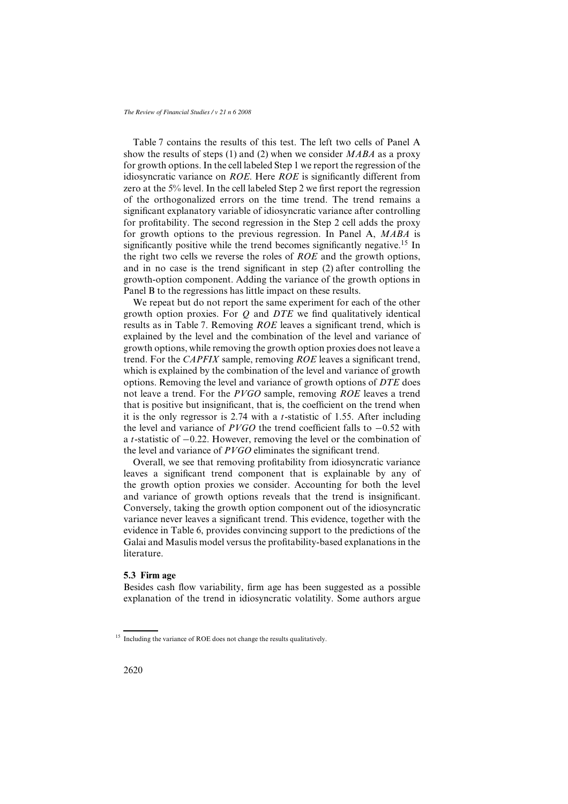Table 7 contains the results of this test. The left two cells of Panel A show the results of steps (1) and (2) when we consider *MABA* as a proxy for growth options. In the cell labeled Step 1 we report the regression of the idiosyncratic variance on *ROE*. Here *ROE* is significantly different from zero at the 5% level. In the cell labeled Step 2 we first report the regression of the orthogonalized errors on the time trend. The trend remains a significant explanatory variable of idiosyncratic variance after controlling for profitability. The second regression in the Step 2 cell adds the proxy for growth options to the previous regression. In Panel A, *MABA* is significantly positive while the trend becomes significantly negative.<sup>15</sup> In the right two cells we reverse the roles of *ROE* and the growth options, and in no case is the trend significant in step (2) after controlling the growth-option component. Adding the variance of the growth options in Panel B to the regressions has little impact on these results.

We repeat but do not report the same experiment for each of the other growth option proxies. For *Q* and *DTE* we find qualitatively identical results as in Table 7. Removing *ROE* leaves a significant trend, which is explained by the level and the combination of the level and variance of growth options, while removing the growth option proxies does not leave a trend. For the *CAPFIX* sample, removing *ROE* leaves a significant trend, which is explained by the combination of the level and variance of growth options. Removing the level and variance of growth options of *DTE* does not leave a trend. For the *PVGO* sample, removing *ROE* leaves a trend that is positive but insignificant, that is, the coefficient on the trend when it is the only regressor is 2.74 with a *t*-statistic of 1.55. After including the level and variance of *PVGO* the trend coefficient falls to −0.52 with a *t*-statistic of −0.22. However, removing the level or the combination of the level and variance of *PVGO* eliminates the significant trend.

Overall, we see that removing profitability from idiosyncratic variance leaves a significant trend component that is explainable by any of the growth option proxies we consider. Accounting for both the level and variance of growth options reveals that the trend is insignificant. Conversely, taking the growth option component out of the idiosyncratic variance never leaves a significant trend. This evidence, together with the evidence in Table 6, provides convincing support to the predictions of the Galai and Masulis model versus the profitability-based explanations in the literature.

## **5.3 Firm age**

Besides cash flow variability, firm age has been suggested as a possible explanation of the trend in idiosyncratic volatility. Some authors argue

<sup>&</sup>lt;sup>15</sup> Including the variance of ROE does not change the results qualitatively.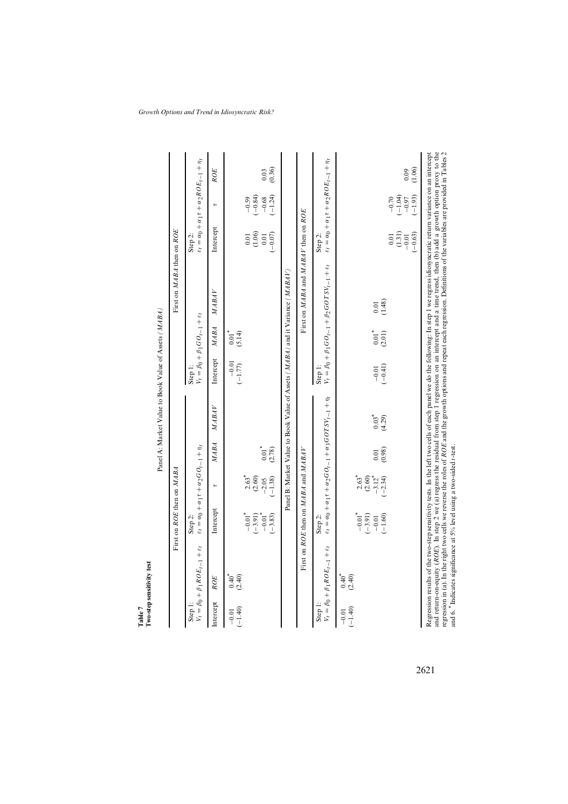|                                                                 | First on ROE then on MABA                                                           |                                                                 |                               |                                                                                                     |                                                               |                               | First on MABA then on ROE                                                                |                             |                                                                          |                |
|-----------------------------------------------------------------|-------------------------------------------------------------------------------------|-----------------------------------------------------------------|-------------------------------|-----------------------------------------------------------------------------------------------------|---------------------------------------------------------------|-------------------------------|------------------------------------------------------------------------------------------|-----------------------------|--------------------------------------------------------------------------|----------------|
| $V_t = \beta_0 + \beta_1 RO E_{t-1} + \varepsilon_t$<br>Step 1: | $\varepsilon_t = \alpha_0 + \alpha_1 \tau + \alpha_2 G O_{t-1} + \eta_t$<br>Step 2: |                                                                 |                               |                                                                                                     | Step 1:<br>$V_t = \beta_0 + \beta_1 GO_{t-1} + \varepsilon_t$ |                               |                                                                                          | Step 2:                     | $\varepsilon_t = \alpha_0 + \alpha_1 \tau + \alpha_2 ROE_{t-1} + \eta_t$ |                |
| ROE<br>Intercept                                                | Intercept                                                                           | F                                                               | NABA                          | MABAV                                                                                               | Intercept                                                     | <b>MABA</b>                   | MABAV                                                                                    | Intercept                   | $\overline{1}$                                                           | <b>ROE</b>     |
| $0.40^{*}$<br>(2.40)<br>$(-1.40)$<br>$-0.01$                    | $-0.01$ <sup>*</sup><br>$(-3.91)$<br>$-0.01$ <sup>*</sup><br>$(-3.83)$              | $2.63^*$<br>$(2.60)$<br>$-2.05$<br>$(-1.38)$                    | $0.01$ <sup>*</sup><br>(2.78) |                                                                                                     | $-0.01$<br>$(-1.77)$                                          | $0.01$ <sup>*</sup><br>(5.14) |                                                                                          | (1.06)<br>$(-0.07)$<br>0.01 | $\begin{array}{c}(-0.84)\\-0.68\end{array}$<br>$(-1.24)$<br>$-0.59$      | (0.36)<br>0.03 |
|                                                                 |                                                                                     |                                                                 |                               |                                                                                                     |                                                               |                               | Panel B: Market Value to Book Value of Assets (MABA) and it Variance (MABAV)             |                             |                                                                          |                |
|                                                                 | First on ROE then on MABA and MABAV                                                 |                                                                 |                               |                                                                                                     |                                                               |                               | First on MABA and MABAV then on ROE                                                      |                             |                                                                          |                |
| $V_t = \beta_0 + \beta_1 RO E_{t-1} + \varepsilon_t$<br>Step 1: | Step 2:                                                                             |                                                                 |                               | $\varepsilon_t = \alpha_0 + \alpha_1 \tau + \alpha_2 G O_{t-1} + \alpha_3 G O T S V_{t-1} + \eta_t$ |                                                               |                               | Step 1:<br>$V_t = \beta_0 + \beta_1 G O_{t-1} + \beta_2 G O T S V_{t-1} + \varepsilon_t$ | Step 2:                     | $\varepsilon_t = \alpha_0 + \alpha_1 \tau + \alpha_2 ROE_{t-1} + \eta_t$ |                |
| $0.40^{*}$<br>(2.40)<br>$(-1.40)$<br>$-0.01$                    | $-0.01$ <sup>*</sup><br>$(-3.91)$<br>$(-0.01$<br>$(-1.60)$                          | $\begin{array}{c} 2.63^* \\ 2.60 \\ -3.12 \\ -0.34 \end{array}$ | (0.98)<br>0.01                | $0.03*$<br>(4.29)                                                                                   | $(-0.41)$<br>$-0.01$                                          | $0.01^{*}$<br>(2.01)          | (1.48)<br>0.01                                                                           | $(-0.63)$<br>(1.31)<br>0.01 | $(-1.04)$<br>$(-1.93)$<br>$-0.70$                                        | (1.06)<br>0.09 |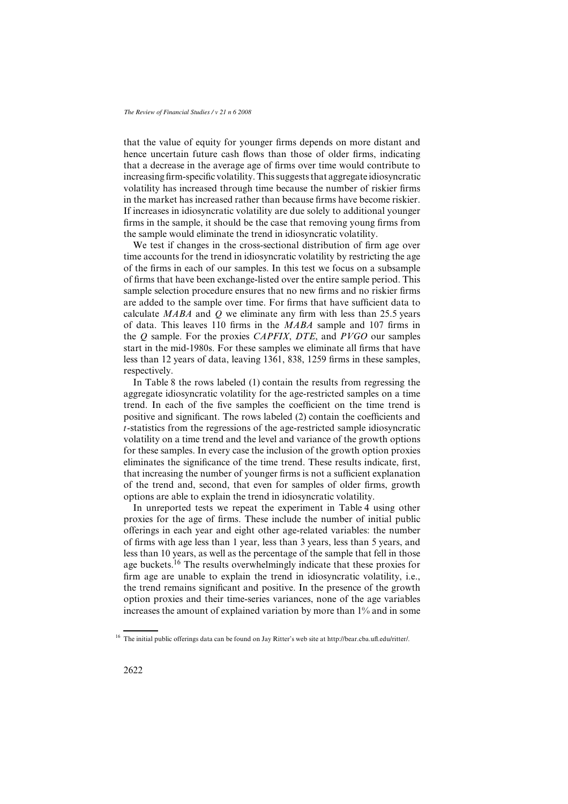that the value of equity for younger firms depends on more distant and hence uncertain future cash flows than those of older firms, indicating that a decrease in the average age of firms over time would contribute to increasing firm-specific volatility. This suggests that aggregate idiosyncratic volatility has increased through time because the number of riskier firms in the market has increased rather than because firms have become riskier. If increases in idiosyncratic volatility are due solely to additional younger firms in the sample, it should be the case that removing young firms from the sample would eliminate the trend in idiosyncratic volatility.

We test if changes in the cross-sectional distribution of firm age over time accounts for the trend in idiosyncratic volatility by restricting the age of the firms in each of our samples. In this test we focus on a subsample of firms that have been exchange-listed over the entire sample period. This sample selection procedure ensures that no new firms and no riskier firms are added to the sample over time. For firms that have sufficient data to calculate *MABA* and *Q* we eliminate any firm with less than 25.5 years of data. This leaves 110 firms in the *MABA* sample and 107 firms in the *Q* sample. For the proxies *CAPFIX*, *DTE*, and *PVGO* our samples start in the mid-1980s. For these samples we eliminate all firms that have less than 12 years of data, leaving 1361, 838, 1259 firms in these samples, respectively.

In Table 8 the rows labeled (1) contain the results from regressing the aggregate idiosyncratic volatility for the age-restricted samples on a time trend. In each of the five samples the coefficient on the time trend is positive and significant. The rows labeled (2) contain the coefficients and *t*-statistics from the regressions of the age-restricted sample idiosyncratic volatility on a time trend and the level and variance of the growth options for these samples. In every case the inclusion of the growth option proxies eliminates the significance of the time trend. These results indicate, first, that increasing the number of younger firms is not a sufficient explanation of the trend and, second, that even for samples of older firms, growth options are able to explain the trend in idiosyncratic volatility.

In unreported tests we repeat the experiment in Table 4 using other proxies for the age of firms. These include the number of initial public offerings in each year and eight other age-related variables: the number of firms with age less than 1 year, less than 3 years, less than 5 years, and less than 10 years, as well as the percentage of the sample that fell in those age buckets.<sup>16</sup> The results overwhelmingly indicate that these proxies for firm age are unable to explain the trend in idiosyncratic volatility, i.e., the trend remains significant and positive. In the presence of the growth option proxies and their time-series variances, none of the age variables increases the amount of explained variation by more than 1% and in some

<sup>16</sup> The initial public offerings data can be found on Jay Ritter's web site at http://bear.cba.ufl.edu/ritter/.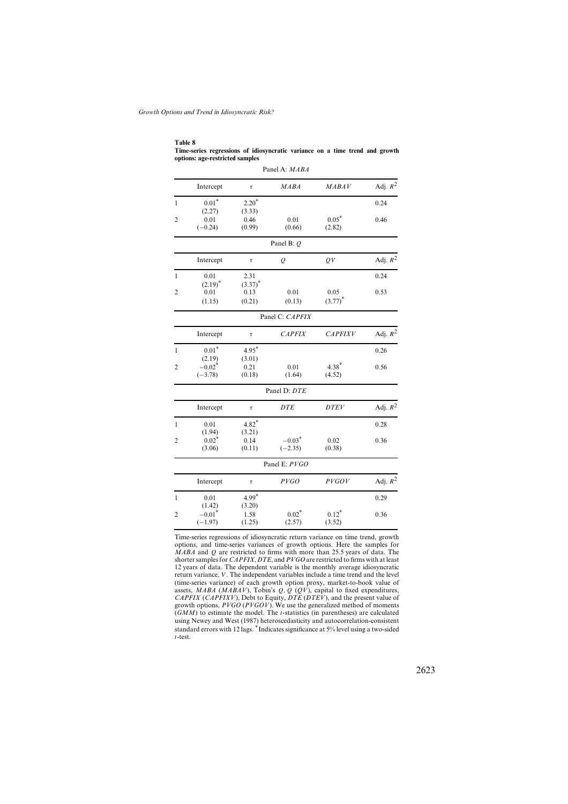## **Table 8**

**Time-series regressions of idiosyncratic variance on a time trend and growth options: age-restricted samples**

|              |                                   |                      | Panel A: MABA          |                    |            |
|--------------|-----------------------------------|----------------------|------------------------|--------------------|------------|
|              | Intercept                         | $\tau$               | MABA                   | <b>MABAV</b>       | Adj. $R^2$ |
| 1            | $0.01*$<br>(2.27)                 | $2.20*$<br>(3.33)    |                        |                    | 0.24       |
| 2            | 0.01<br>$(-0.24)$                 | 0.46<br>(0.99)       | 0.01<br>(0.66)         | $0.05*$<br>(2.82)  | 0.46       |
|              |                                   |                      | Panel B: Q             |                    |            |
|              | Intercept                         | $\tau$               | $\varrho$              | QV                 | Adj. $R^2$ |
| $\mathbf{1}$ | 0.01<br>$(2.19)^*$                | 2.31<br>$(3.37)^{4}$ |                        |                    | 0.24       |
| 2            | 0.01<br>(1.15)                    | 0.13<br>(0.21)       | 0.01<br>(0.13)         | 0.05<br>$(3.77)^*$ | 0.53       |
|              |                                   |                      | Panel C: CAPFIX        |                    |            |
|              | Intercept                         | $\tau$               | <b>CAPFIX</b>          | <b>CAPFIXV</b>     | Adj. $R^2$ |
| 1            | $0.01*$<br>(2.19)                 | $4.95*$<br>(3.01)    |                        |                    | 0.26       |
| 2            | $-0.02*$<br>$(-3.78)$             | 0.21<br>(0.18)       | 0.01<br>(1.64)         | $4.38*$<br>(4.52)  | 0.56       |
|              |                                   |                      | Panel D: DTE           |                    |            |
|              | Intercept                         | $\tau$               | <b>DTE</b>             | <b>DTEV</b>        | Adj. $R^2$ |
| 1            | 0.01<br>(1.94)                    | $4.82*$<br>(3.21)    |                        |                    | 0.28       |
| 2            | $0.02^*$<br>(3.06)                | 0.14<br>(0.11)       | $-0.03^*$<br>$(-2.35)$ | 0.02<br>(0.38)     | 0.36       |
|              |                                   |                      | Panel E: PVGO          |                    |            |
|              | Intercept                         | $\tau$               | PVGO                   | <b>PVGOV</b>       | Adj. $R^2$ |
| $\mathbf{1}$ | 0.01<br>(1.42)                    | $4.99*$<br>(3.20)    |                        |                    | 0.29       |
| 2            | $-0.01$ <sup>*</sup><br>$(-1.97)$ | 1.58<br>(1.25)       | $0.02*$<br>(2.57)      | $0.12^*$<br>(3.52) | 0.36       |

Time-series regressions of idiosyncratic return variance on time trend, growth options, and time-series variances of growth options. Here the samples for *MABA* and *Q* are restricted to firms with more than 25.5 years of data. The shorter samples for *CAPFIX*,*DTE*, and*PVGO* are restricted to firms with at least 12 years of data. The dependent variable is the monthly average idiosyncratic<br>return variance, *V*. The independent variables include a time trend and the level<br>(time-series variance) of each growth option proxy, market-t using Newey and West (1987) heteroscedasticity and autocorrelation-consistent standard errors with 12 lags. \*Indicates significance at 5% level using a two-sided *t*-test.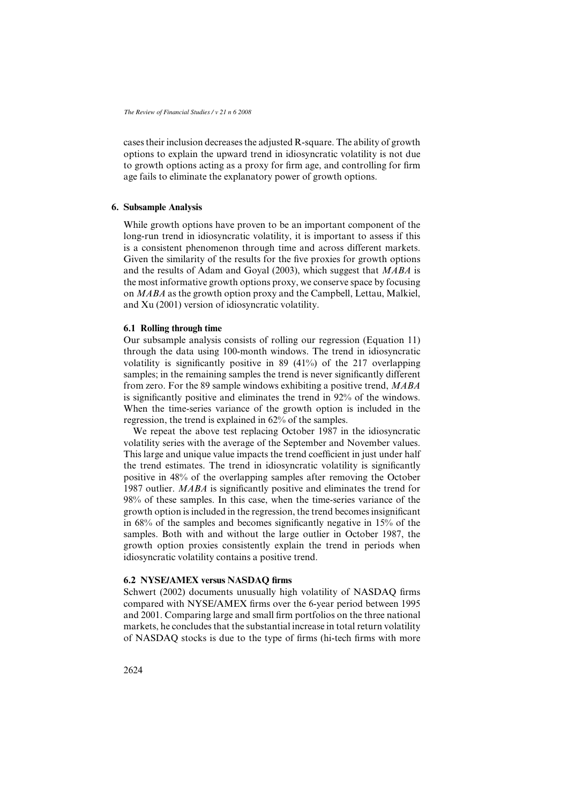cases their inclusion decreases the adjusted R-square. The ability of growth options to explain the upward trend in idiosyncratic volatility is not due to growth options acting as a proxy for firm age, and controlling for firm age fails to eliminate the explanatory power of growth options.

## **6. Subsample Analysis**

While growth options have proven to be an important component of the long-run trend in idiosyncratic volatility, it is important to assess if this is a consistent phenomenon through time and across different markets. Given the similarity of the results for the five proxies for growth options and the results of Adam and Goyal (2003), which suggest that *MABA* is the most informative growth options proxy, we conserve space by focusing on *MABA* as the growth option proxy and the Campbell, Lettau, Malkiel, and Xu (2001) version of idiosyncratic volatility.

## **6.1 Rolling through time**

Our subsample analysis consists of rolling our regression (Equation 11) through the data using 100-month windows. The trend in idiosyncratic volatility is significantly positive in 89 (41%) of the 217 overlapping samples; in the remaining samples the trend is never significantly different from zero. For the 89 sample windows exhibiting a positive trend, *MABA* is significantly positive and eliminates the trend in 92% of the windows. When the time-series variance of the growth option is included in the regression, the trend is explained in 62% of the samples.

We repeat the above test replacing October 1987 in the idiosyncratic volatility series with the average of the September and November values. This large and unique value impacts the trend coefficient in just under half the trend estimates. The trend in idiosyncratic volatility is significantly positive in 48% of the overlapping samples after removing the October 1987 outlier. *MABA* is significantly positive and eliminates the trend for 98% of these samples. In this case, when the time-series variance of the growth option is included in the regression, the trend becomes insignificant in 68% of the samples and becomes significantly negative in 15% of the samples. Both with and without the large outlier in October 1987, the growth option proxies consistently explain the trend in periods when idiosyncratic volatility contains a positive trend.

## **6.2 NYSE/AMEX versus NASDAQ firms**

Schwert (2002) documents unusually high volatility of NASDAQ firms compared with NYSE/AMEX firms over the 6-year period between 1995 and 2001. Comparing large and small firm portfolios on the three national markets, he concludes that the substantial increase in total return volatility of NASDAQ stocks is due to the type of firms (hi-tech firms with more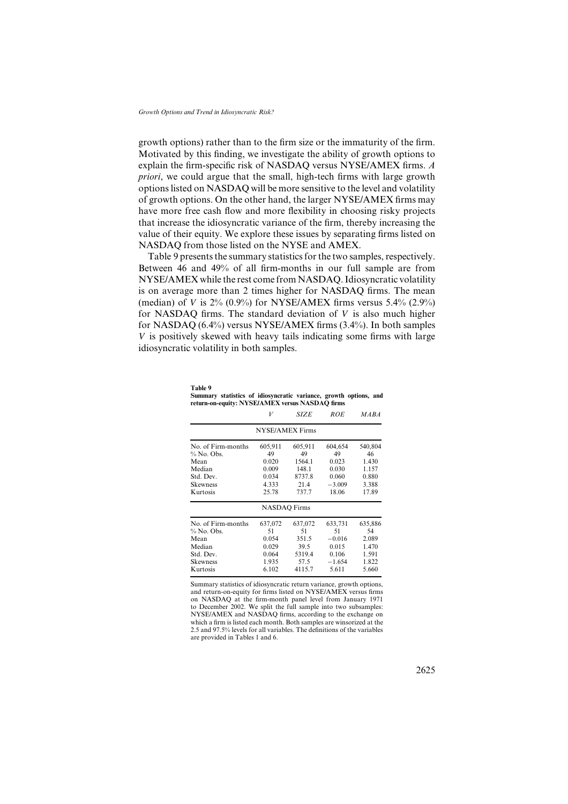growth options) rather than to the firm size or the immaturity of the firm. Motivated by this finding, we investigate the ability of growth options to explain the firm-specific risk of NASDAQ versus NYSE/AMEX firms. *A priori*, we could argue that the small, high-tech firms with large growth options listed on NASDAQ will be more sensitive to the level and volatility of growth options. On the other hand, the larger NYSE/AMEX firms may have more free cash flow and more flexibility in choosing risky projects that increase the idiosyncratic variance of the firm, thereby increasing the value of their equity. We explore these issues by separating firms listed on NASDAQ from those listed on the NYSE and AMEX.

Table 9 presents the summary statistics for the two samples, respectively. Between 46 and 49% of all firm-months in our full sample are from NYSE/AMEX while the rest come from NASDAQ. Idiosyncratic volatility is on average more than 2 times higher for NASDAQ firms. The mean (median) of *V* is  $2\%$  (0.9%) for NYSE/AMEX firms versus  $5.4\%$  (2.9%) for NASDAQ firms. The standard deviation of *V* is also much higher for NASDAQ (6.4%) versus NYSE/AMEX firms (3.4%). In both samples *V* is positively skewed with heavy tails indicating some firms with large idiosyncratic volatility in both samples.

**Table 9**

|  | Summary statistics of idiosyncratic variance, growth options, and |  |  |
|--|-------------------------------------------------------------------|--|--|
|  | return-on-equity: NYSE/AMEX versus NASDAQ firms                   |  |  |

|                    | V                      | <i>SIZE</i> | <b>ROE</b> | MABA    |
|--------------------|------------------------|-------------|------------|---------|
|                    | <b>NYSE/AMEX Firms</b> |             |            |         |
| No. of Firm-months | 605,911                | 605,911     | 604,654    | 540,804 |
| % No. Obs.         | 49                     | 49          | 49         | 46      |
| Mean               | 0.020                  | 1564.1      | 0.023      | 1.430   |
| Median             | 0.009                  | 148.1       | 0.030      | 1.157   |
| Std. Dev.          | 0.034                  | 8737.8      | 0.060      | 0.880   |
| <b>Skewness</b>    | 4.333                  | 21.4        | $-3.009$   | 3.388   |
| Kurtosis           | 25.78                  | 737.7       | 18.06      | 17.89   |
|                    | <b>NASDAQ</b> Firms    |             |            |         |
| No. of Firm-months | 637,072                | 637,072     | 633,731    | 635,886 |
| % No. Obs.         | 51                     | 51          | 51         | 54      |
| Mean               | 0.054                  | 351.5       | $-0.016$   | 2.089   |
| Median             | 0.029                  | 39.5        | 0.015      | 1.470   |
| Std. Dev.          | 0.064                  | 5319.4      | 0.106      | 1.591   |
| <b>Skewness</b>    | 1.935                  | 57.5        | $-1.654$   | 1.822   |
| Kurtosis           | 6.102                  | 4115.7      | 5.611      | 5.660   |

Summary statistics of idiosyncratic return variance, growth options, and return-on-equity for firms listed on NYSE/AMEX versus firms on NASDAQ at the firm-month panel level from January 1971 to December 2002. We split the full sample into two subsamples: NYSE/AMEX and NASDAQ firms, according to the exchange on which a firm is listed each month. Both samples are winsorized at the 2.5 and 97.5% levels for all variables. The definitions of the variables are provided in Tables 1 and 6.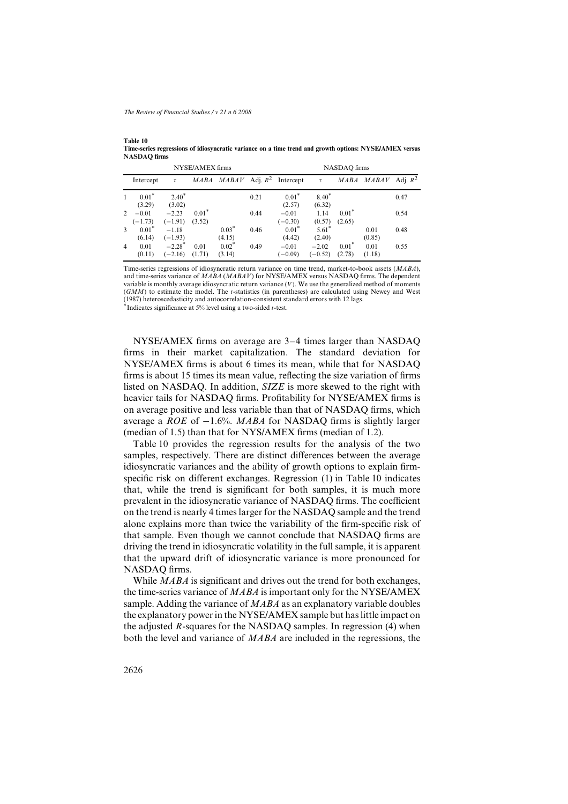**Table 10 Time-series regressions of idiosyncratic variance on a time trend and growth options: NYSE/AMEX versus NASDAQ firms**

|                | NYSE/AMEX firms      |                                   |                   |                                   |      | NASDAQ firms         |                      |                   |                |            |
|----------------|----------------------|-----------------------------------|-------------------|-----------------------------------|------|----------------------|----------------------|-------------------|----------------|------------|
|                | Intercept            | τ                                 |                   | $MABA \quad MABAV \quad Adj. R^2$ |      | Intercept            | τ                    | MABA              | MABAV          | Adi. $R^2$ |
|                | $0.01*$<br>(3.29)    | $2.40*$<br>(3.02)                 |                   |                                   | 0.21 | $0.01*$<br>(2.57)    | $8.40*$<br>(6.32)    |                   |                | 0.47       |
| $\mathcal{L}$  | $-0.01$<br>$(-1.73)$ | $-2.23$<br>$(-1.91)$              | $0.01*$<br>(3.52) |                                   | 0.44 | $-0.01$<br>$(-0.30)$ | 1.14<br>(0.57)       | $0.01*$<br>(2.65) |                | 0.54       |
| $\mathbf{3}$   | $0.01*$<br>(6.14)    | $-1.18$<br>$(-1.93)$              |                   | $0.03*$<br>(4.15)                 | 0.46 | $0.01^*$<br>(4.42)   | $5.61*$<br>(2.40)    |                   | 0.01<br>(0.85) | 0.48       |
| $\overline{4}$ | 0.01<br>(0.11)       | $-2.28$ <sup>*</sup><br>$(-2.16)$ | 0.01<br>(1.71)    | $0.02*$<br>(3.14)                 | 0.49 | $-0.01$<br>$(-0.09)$ | $-2.02$<br>$(-0.52)$ | $0.01*$<br>(2.78) | 0.01<br>(1.18) | 0.55       |

Time-series regressions of idiosyncratic return variance on time trend, market-to-book assets (*MABA*), and time-series variance of *MABA* (*MABAV*) for NYSE/AMEX versus NASDAQ firms. The dependent variable is monthly average idiosyncratic return variance (*V )*. We use the generalized method of moments (*GMM*) to estimate the model. The *t*-statistics (in parentheses) are calculated using Newey and West (1987) heteroscedasticity and autocorrelation-consistent standard errors with 12 lags.

\*Indicates significance at 5% level using a two-sided *t*-test.

NYSE/AMEX firms on average are 3–4 times larger than NASDAQ firms in their market capitalization. The standard deviation for NYSE/AMEX firms is about 6 times its mean, while that for NASDAQ firms is about 15 times its mean value, reflecting the size variation of firms listed on NASDAQ. In addition, *SIZE* is more skewed to the right with heavier tails for NASDAQ firms. Profitability for NYSE/AMEX firms is on average positive and less variable than that of NASDAQ firms, which average a *ROE* of −1.6%. *MABA* for NASDAQ firms is slightly larger (median of 1.5) than that for NYS/AMEX firms (median of 1.2).

Table 10 provides the regression results for the analysis of the two samples, respectively. There are distinct differences between the average idiosyncratic variances and the ability of growth options to explain firmspecific risk on different exchanges. Regression (1) in Table 10 indicates that, while the trend is significant for both samples, it is much more prevalent in the idiosyncratic variance of NASDAQ firms. The coefficient on the trend is nearly 4 times larger for the NASDAQ sample and the trend alone explains more than twice the variability of the firm-specific risk of that sample. Even though we cannot conclude that NASDAQ firms are driving the trend in idiosyncratic volatility in the full sample, it is apparent that the upward drift of idiosyncratic variance is more pronounced for NASDAQ firms.

While *MABA* is significant and drives out the trend for both exchanges, the time-series variance of *MABA* is important only for the NYSE/AMEX sample. Adding the variance of *MABA* as an explanatory variable doubles the explanatory power in the NYSE/AMEX sample but has little impact on the adjusted *R*-squares for the NASDAQ samples. In regression (4) when both the level and variance of *MABA* are included in the regressions, the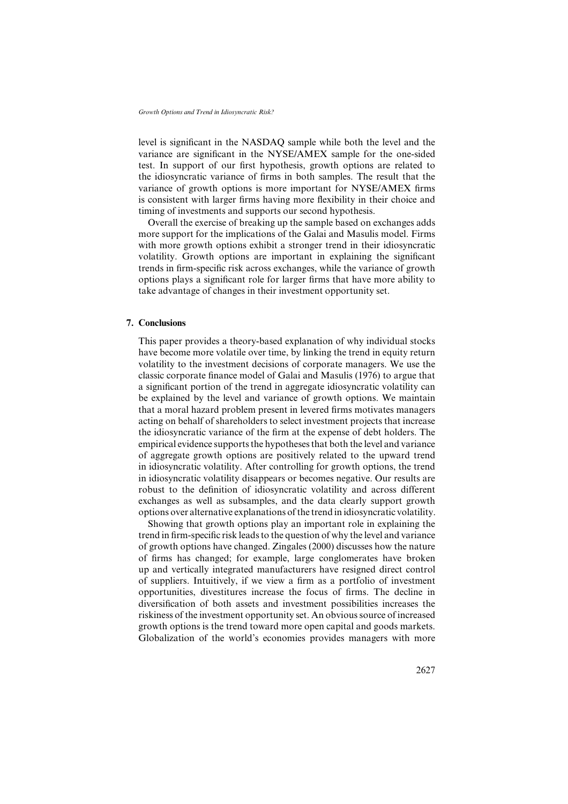level is significant in the NASDAQ sample while both the level and the variance are significant in the NYSE/AMEX sample for the one-sided test. In support of our first hypothesis, growth options are related to the idiosyncratic variance of firms in both samples. The result that the variance of growth options is more important for NYSE/AMEX firms is consistent with larger firms having more flexibility in their choice and timing of investments and supports our second hypothesis.

Overall the exercise of breaking up the sample based on exchanges adds more support for the implications of the Galai and Masulis model. Firms with more growth options exhibit a stronger trend in their idiosyncratic volatility. Growth options are important in explaining the significant trends in firm-specific risk across exchanges, while the variance of growth options plays a significant role for larger firms that have more ability to take advantage of changes in their investment opportunity set.

## **7. Conclusions**

This paper provides a theory-based explanation of why individual stocks have become more volatile over time, by linking the trend in equity return volatility to the investment decisions of corporate managers. We use the classic corporate finance model of Galai and Masulis (1976) to argue that a significant portion of the trend in aggregate idiosyncratic volatility can be explained by the level and variance of growth options. We maintain that a moral hazard problem present in levered firms motivates managers acting on behalf of shareholders to select investment projects that increase the idiosyncratic variance of the firm at the expense of debt holders. The empirical evidence supports the hypotheses that both the level and variance of aggregate growth options are positively related to the upward trend in idiosyncratic volatility. After controlling for growth options, the trend in idiosyncratic volatility disappears or becomes negative. Our results are robust to the definition of idiosyncratic volatility and across different exchanges as well as subsamples, and the data clearly support growth options over alternative explanations of the trend in idiosyncratic volatility.

Showing that growth options play an important role in explaining the trend in firm-specific risk leads to the question of why the level and variance of growth options have changed. Zingales (2000) discusses how the nature of firms has changed; for example, large conglomerates have broken up and vertically integrated manufacturers have resigned direct control of suppliers. Intuitively, if we view a firm as a portfolio of investment opportunities, divestitures increase the focus of firms. The decline in diversification of both assets and investment possibilities increases the riskiness of the investment opportunity set. An obvious source of increased growth options is the trend toward more open capital and goods markets. Globalization of the world's economies provides managers with more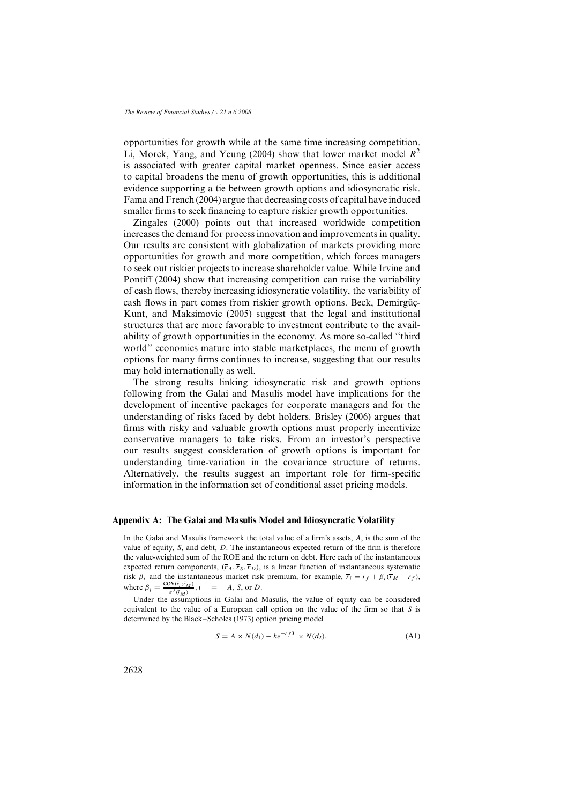opportunities for growth while at the same time increasing competition. Li, Morck, Yang, and Yeung (2004) show that lower market model *R*<sup>2</sup> is associated with greater capital market openness. Since easier access to capital broadens the menu of growth opportunities, this is additional evidence supporting a tie between growth options and idiosyncratic risk. Fama and French (2004) argue that decreasing costs of capital have induced smaller firms to seek financing to capture riskier growth opportunities.

Zingales (2000) points out that increased worldwide competition increases the demand for process innovation and improvements in quality. Our results are consistent with globalization of markets providing more opportunities for growth and more competition, which forces managers to seek out riskier projects to increase shareholder value. While Irvine and Pontiff (2004) show that increasing competition can raise the variability of cash flows, thereby increasing idiosyncratic volatility, the variability of cash flows in part comes from riskier growth options. Beck, Demirgüc-Kunt, and Maksimovic (2005) suggest that the legal and institutional structures that are more favorable to investment contribute to the availability of growth opportunities in the economy. As more so-called ''third world'' economies mature into stable marketplaces, the menu of growth options for many firms continues to increase, suggesting that our results may hold internationally as well.

The strong results linking idiosyncratic risk and growth options following from the Galai and Masulis model have implications for the development of incentive packages for corporate managers and for the understanding of risks faced by debt holders. Brisley (2006) argues that firms with risky and valuable growth options must properly incentivize conservative managers to take risks. From an investor's perspective our results suggest consideration of growth options is important for understanding time-variation in the covariance structure of returns. Alternatively, the results suggest an important role for firm-specific information in the information set of conditional asset pricing models.

#### **Appendix A: The Galai and Masulis Model and Idiosyncratic Volatility**

In the Galai and Masulis framework the total value of a firm's assets, *A*, is the sum of the value of equity, *S*, and debt, *D*. The instantaneous expected return of the firm is therefore the value-weighted sum of the ROE and the return on debt. Here each of the instantaneous expected return components,  $(\overline{r}_A, \overline{r}_S, \overline{r}_D)$ , is a linear function of instantaneous systematic risk  $\beta_i$  and the instantaneous market risk premium, for example,  $\overline{r_i} = r_f + \beta_i(\overline{r_M} - r_f)$ , where  $\beta_i = \frac{\text{cov}(\tilde{r}_i : \tilde{r}_M)}{\sigma^2(\tilde{r}_M)}, i = A, S, \text{ or } D.$  $\sigma^2(\tilde{r}_M)$ 

Under the assumptions in Galai and Masulis, the value of equity can be considered equivalent to the value of a European call option on the value of the firm so that *S* is determined by the Black–Scholes (1973) option pricing model

$$
S = A \times N(d_1) - ke^{-r_f T} \times N(d_2),
$$
 (A1)

2628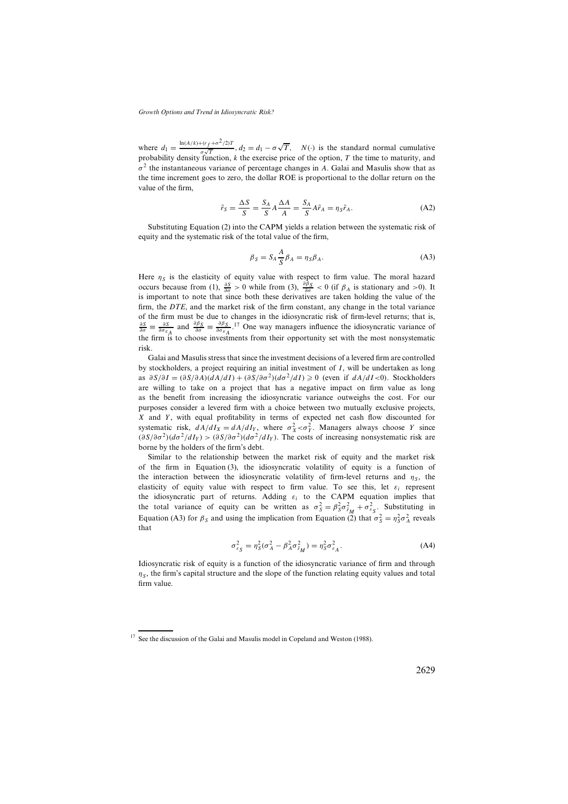where  $d_1 = \frac{\ln(A/k) + (r_f + \sigma^2/2)T}{\sigma\sqrt{T}}$ ,  $d_2 = d_1 - \sigma\sqrt{T}$ ,  $N(\cdot)$  is the standard normal cumulative probability density function, *k* the exercise price of the option, *T* the time to maturity, and *σ*<sup>2</sup> the instantaneous variance of percentage changes in *A*. Galai and Masulis show that as the time increment goes to zero, the dollar ROE is proportional to the dollar return on the value of the firm,

$$
\tilde{r}_S = \frac{\Delta S}{S} = \frac{S_A}{S} A \frac{\Delta A}{A} = \frac{S_A}{S} A \tilde{r}_A = \eta_S \tilde{r}_A.
$$
 (A2)

Substituting Equation (2) into the CAPM yields a relation between the systematic risk of equity and the systematic risk of the total value of the firm,

$$
\beta_S = S_A \frac{A}{S} \beta_A = \eta_S \beta_A. \tag{A3}
$$

Here  $\eta_s$  is the elasticity of equity value with respect to firm value. The moral hazard occurs because from (1),  $\frac{\partial S}{\partial \sigma} > 0$  while from (3),  $\frac{\partial \beta S}{\partial \sigma} < 0$  (if  $\beta_A$  is stationary and >0). It is important to note that since both these derivatives are taken holding the value of the firm, the *DTE*, and the market risk of the firm constant, any change in the total variance of the firm must be due to changes in the idiosyncratic risk of firm-level returns; that is,  $\frac{\partial S}{\partial \sigma} = \frac{\partial S}{\partial \sigma \epsilon_A}$  and  $\frac{\partial \beta_S}{\partial \sigma} = \frac{\partial \beta_S}{\partial \sigma \epsilon_A}$ .<sup>17</sup> One way managers influence the idiosyncratic variance of the firm is to choose investments from their opportunity set with the most nonsystematic risk.

Galai and Masulis stress that since the investment decisions of a levered firm are controlled by stockholders, a project requiring an initial investment of *I* , will be undertaken as long as  $\partial S/\partial I = (\partial S/\partial A)(dA/dI) + (\partial S/\partial \sigma^2)(d\sigma^2/dI) \geq 0$  (even if  $dA/dI < 0$ ). Stockholders are willing to take on a project that has a negative impact on firm value as long as the benefit from increasing the idiosyncratic variance outweighs the cost. For our purposes consider a levered firm with a choice between two mutually exclusive projects, *X* and *Y* , with equal profitability in terms of expected net cash flow discounted for systematic risk,  $dA/dI_X = dA/dI_Y$ , where  $\sigma_X^2 < \sigma_Y^2$ . Managers always choose *Y* since  $(\partial S/\partial \sigma^2)(d\sigma^2/dI_Y) > (\partial S/\partial \sigma^2)(d\sigma^2/dI_Y)$ . The costs of increasing nonsystematic risk are borne by the holders of the firm's debt.

Similar to the relationship between the market risk of equity and the market risk of the firm in Equation (3), the idiosyncratic volatility of equity is a function of the interaction between the idiosyncratic volatility of firm-level returns and  $\eta_s$ , the elasticity of equity value with respect to firm value. To see this, let *εi* represent the idiosyncratic part of returns. Adding  $\varepsilon_i$  to the CAPM equation implies that the total variance of equity can be written as  $\sigma_S^2 = \beta_S^2 \sigma_{\tilde{r}_M}^2 + \sigma_{\varepsilon_S}^2$ . Substituting in Equation (A3) for  $\beta_s$  and using the implication from Equation (2) that  $\sigma_s^2 = \eta_s^2 \sigma_A^2$  reveals that

$$
\sigma_{\varepsilon_S}^2 = \eta_S^2 (\sigma_A^2 - \beta_A^2 \sigma_{\tilde{r}_M}^2) = \eta_S^2 \sigma_{\varepsilon_A}^2.
$$
 (A4)

Idiosyncratic risk of equity is a function of the idiosyncratic variance of firm and through  $\eta_s$ , the firm's capital structure and the slope of the function relating equity values and total firm value.

<sup>&</sup>lt;sup>17</sup> See the discussion of the Galai and Masulis model in Copeland and Weston (1988).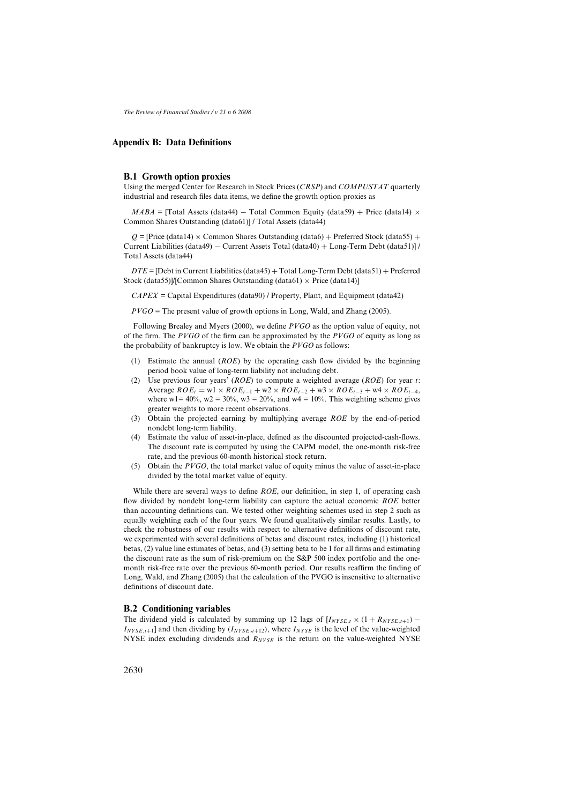*The Review of Financial Studies / v 21 n 6 2008*

## **Appendix B: Data Definitions**

## **B.1 Growth option proxies**

Using the merged Center for Research in Stock Prices (*CRSP*) and *COMPUSTAT* quarterly industrial and research files data items, we define the growth option proxies as

*MABA* = [Total Assets (data44) – Total Common Equity (data59) + Price (data14)  $\times$ Common Shares Outstanding (data61)] / Total Assets (data44)

 $Q =$  [Price (data14)  $\times$  Common Shares Outstanding (data6) + Preferred Stock (data55) + Current Liabilities (data49) − Current Assets Total (data40) + Long-Term Debt (data51)] / Total Assets (data44)

*DTE* = [Debt in Current Liabilities (data45) + Total Long-Term Debt (data51) + Preferred Stock (data55)]/[Common Shares Outstanding (data61)  $\times$  Price (data14)]

*CAPEX* = Capital Expenditures (data90) / Property, Plant, and Equipment (data42)

*PVGO* = The present value of growth options in Long, Wald, and Zhang (2005).

Following Brealey and Myers (2000), we define *PVGO* as the option value of equity, not of the firm. The *PVGO* of the firm can be approximated by the *PVGO* of equity as long as the probability of bankruptcy is low. We obtain the *PVGO* as follows:

- (1) Estimate the annual (*ROE*) by the operating cash flow divided by the beginning period book value of long-term liability not including debt.
- (2) Use previous four years' (*ROE*) to compute a weighted average (*ROE*) for year *t*: Average  $ROE_t = w1 \times ROE_{t-1} + w2 \times ROE_{t-2} + w3 \times ROE_{t-3} + w4 \times ROE_{t-4}$ , where w1= 40%, w2 = 30%, w3 = 20%, and w4 = 10%. This weighting scheme gives greater weights to more recent observations.
- (3) Obtain the projected earning by multiplying average *ROE* by the end-of-period nondebt long-term liability.
- (4) Estimate the value of asset-in-place, defined as the discounted projected-cash-flows. The discount rate is computed by using the CAPM model, the one-month risk-free rate, and the previous 60-month historical stock return.
- (5) Obtain the *PVGO*, the total market value of equity minus the value of asset-in-place divided by the total market value of equity.

While there are several ways to define *ROE*, our definition, in step 1, of operating cash flow divided by nondebt long-term liability can capture the actual economic *ROE* better than accounting definitions can. We tested other weighting schemes used in step 2 such as equally weighting each of the four years. We found qualitatively similar results. Lastly, to check the robustness of our results with respect to alternative definitions of discount rate, we experimented with several definitions of betas and discount rates, including (1) historical betas, (2) value line estimates of betas, and (3) setting beta to be 1 for all firms and estimating the discount rate as the sum of risk-premium on the S&P 500 index portfolio and the onemonth risk-free rate over the previous 60-month period. Our results reaffirm the finding of Long, Wald, and Zhang (2005) that the calculation of the PVGO is insensitive to alternative definitions of discount date.

## **B.2 Conditioning variables**

The dividend yield is calculated by summing up 12 lags of  $[I_{NYSE,t} \times (1 + R_{NYSE,t+1}) I_{NYSE,t+1}$ ] and then dividing by  $(I_{NYSE,t+12})$ , where  $I_{NYSE}$  is the level of the value-weighted NYSE index excluding dividends and *RNYSE* is the return on the value-weighted NYSE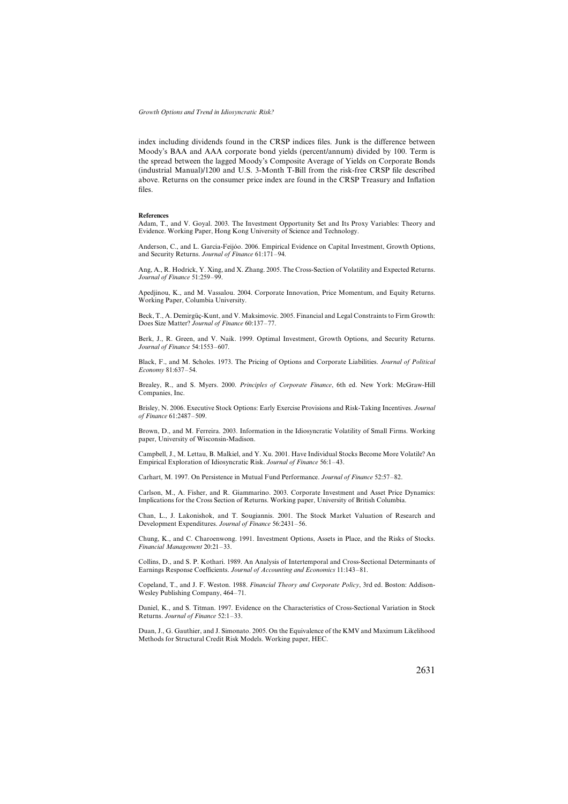index including dividends found in the CRSP indices files. Junk is the difference between Moody's BAA and AAA corporate bond yields (percent/annum) divided by 100. Term is the spread between the lagged Moody's Composite Average of Yields on Corporate Bonds (industrial Manual)/1200 and U.S. 3-Month T-Bill from the risk-free CRSP file described above. Returns on the consumer price index are found in the CRSP Treasury and Inflation files.

#### **References**

Adam, T., and V. Goyal. 2003. The Investment Opportunity Set and Its Proxy Variables: Theory and Evidence. Working Paper, Hong Kong University of Science and Technology.

Anderson, C., and L. Garcia-Feijóo. 2006. Empirical Evidence on Capital Investment, Growth Options, and Security Returns. *Journal of Finance* 61:171–94.

Ang, A., R. Hodrick, Y. Xing, and X. Zhang. 2005. The Cross-Section of Volatility and Expected Returns. *Journal of Finance* 51:259–99.

Apedjinou, K., and M. Vassalou. 2004. Corporate Innovation, Price Momentum, and Equity Returns. Working Paper, Columbia University.

Beck, T., A. Demirgüç-Kunt, and V. Maksimovic. 2005. Financial and Legal Constraints to Firm Growth: Does Size Matter? *Journal of Finance* 60:137–77.

Berk, J., R. Green, and V. Naik. 1999. Optimal Investment, Growth Options, and Security Returns. *Journal of Finance* 54:1553–607.

Black, F., and M. Scholes. 1973. The Pricing of Options and Corporate Liabilities. *Journal of Political Economy* 81:637–54.

Brealey, R., and S. Myers. 2000. *Principles of Corporate Finance*, 6th ed. New York: McGraw-Hill Companies, Inc.

Brisley, N. 2006. Executive Stock Options: Early Exercise Provisions and Risk-Taking Incentives. *Journal of Finance* 61:2487–509.

Brown, D., and M. Ferreira. 2003. Information in the Idiosyncratic Volatility of Small Firms. Working paper, University of Wisconsin-Madison.

Campbell, J., M. Lettau, B. Malkiel, and Y. Xu. 2001. Have Individual Stocks Become More Volatile? An Empirical Exploration of Idiosyncratic Risk. *Journal of Finance* 56:1–43.

Carhart, M. 1997. On Persistence in Mutual Fund Performance. *Journal of Finance* 52:57–82.

Carlson, M., A. Fisher, and R. Giammarino. 2003. Corporate Investment and Asset Price Dynamics: Implications for the Cross Section of Returns. Working paper, University of British Columbia.

Chan, L., J. Lakonishok, and T. Sougiannis. 2001. The Stock Market Valuation of Research and Development Expenditures. *Journal of Finance* 56:2431–56.

Chung, K., and C. Charoenwong. 1991. Investment Options, Assets in Place, and the Risks of Stocks. *Financial Management* 20:21–33.

Collins, D., and S. P. Kothari. 1989. An Analysis of Intertemporal and Cross-Sectional Determinants of Earnings Response Coefficients. *Journal of Accounting and Economics* 11:143–81.

Copeland, T., and J. F. Weston. 1988. *Financial Theory and Corporate Policy*, 3rd ed. Boston: Addison-Wesley Publishing Company, 464–71.

Daniel, K., and S. Titman. 1997. Evidence on the Characteristics of Cross-Sectional Variation in Stock Returns. *Journal of Finance* 52:1–33.

Duan, J., G. Gauthier, and J. Simonato. 2005. On the Equivalence of the KMV and Maximum Likelihood Methods for Structural Credit Risk Models. Working paper, HEC.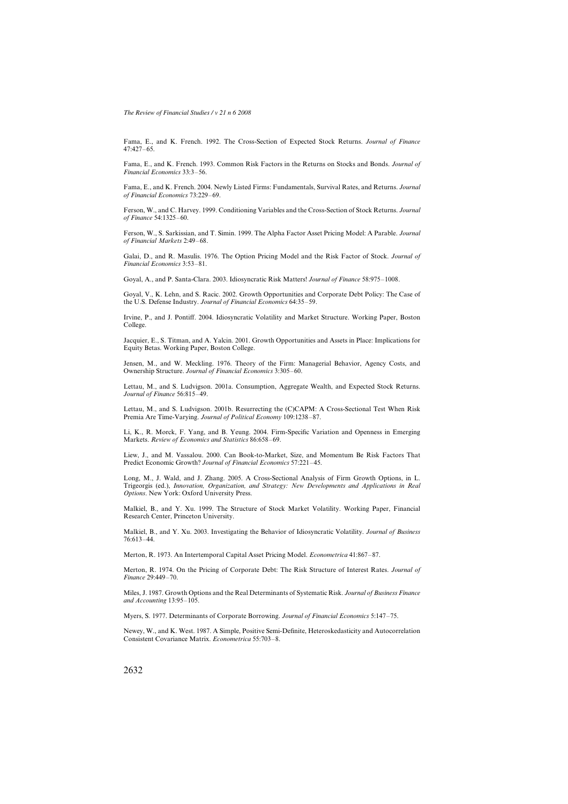#### *The Review of Financial Studies / v 21 n 6 2008*

Fama, E., and K. French. 1992. The Cross-Section of Expected Stock Returns. *Journal of Finance*  $47.427 - 65$ 

Fama, E., and K. French. 1993. Common Risk Factors in the Returns on Stocks and Bonds. *Journal of Financial Economics* 33:3–56.

Fama, E., and K. French. 2004. Newly Listed Firms: Fundamentals, Survival Rates, and Returns. *Journal of Financial Economics* 73:229–69.

Ferson, W., and C. Harvey. 1999. Conditioning Variables and the Cross-Section of Stock Returns. *Journal of Finance* 54:1325–60.

Ferson, W., S. Sarkissian, and T. Simin. 1999. The Alpha Factor Asset Pricing Model: A Parable. *Journal of Financial Markets* 2:49–68.

Galai, D., and R. Masulis. 1976. The Option Pricing Model and the Risk Factor of Stock. *Journal of Financial Economics* 3:53–81.

Goyal, A., and P. Santa-Clara. 2003. Idiosyncratic Risk Matters! *Journal of Finance* 58:975–1008.

Goyal, V., K. Lehn, and S. Racic. 2002. Growth Opportunities and Corporate Debt Policy: The Case of the U.S. Defense Industry. *Journal of Financial Economics* 64:35–59.

Irvine, P., and J. Pontiff. 2004. Idiosyncratic Volatility and Market Structure. Working Paper, Boston College.

Jacquier, E., S. Titman, and A. Yalcin. 2001. Growth Opportunities and Assets in Place: Implications for Equity Betas. Working Paper, Boston College.

Jensen, M., and W. Meckling. 1976. Theory of the Firm: Managerial Behavior, Agency Costs, and Ownership Structure. *Journal of Financial Economics* 3:305–60.

Lettau, M., and S. Ludvigson. 2001a. Consumption, Aggregate Wealth, and Expected Stock Returns. *Journal of Finance* 56:815–49.

Lettau, M., and S. Ludvigson. 2001b. Resurrecting the (C)CAPM: A Cross-Sectional Test When Risk Premia Are Time-Varying. *Journal of Political Economy* 109:1238–87.

Li, K., R. Morck, F. Yang, and B. Yeung. 2004. Firm-Specific Variation and Openness in Emerging Markets. *Review of Economics and Statistics* 86:658–69.

Liew, J., and M. Vassalou. 2000. Can Book-to-Market, Size, and Momentum Be Risk Factors That Predict Economic Growth? *Journal of Financial Economics* 57:221–45.

Long, M., J. Wald, and J. Zhang. 2005. A Cross-Sectional Analysis of Firm Growth Options, in L. Trigeorgis (ed.), *Innovation, Organization, and Strategy: New Developments and Applications in Real Options*. New York: Oxford University Press.

Malkiel, B., and Y. Xu. 1999. The Structure of Stock Market Volatility. Working Paper, Financial Research Center, Princeton University.

Malkiel, B., and Y. Xu. 2003. Investigating the Behavior of Idiosyncratic Volatility. *Journal of Business* 76:613–44.

Merton, R. 1973. An Intertemporal Capital Asset Pricing Model. *Econometrica* 41:867–87.

Merton, R. 1974. On the Pricing of Corporate Debt: The Risk Structure of Interest Rates. *Journal of Finance* 29:449–70.

Miles, J. 1987. Growth Options and the Real Determinants of Systematic Risk. *Journal of Business Finance and Accounting* 13:95–105.

Myers, S. 1977. Determinants of Corporate Borrowing. *Journal of Financial Economics* 5:147–75.

Newey, W., and K. West. 1987. A Simple, Positive Semi-Definite, Heteroskedasticity and Autocorrelation Consistent Covariance Matrix. *Econometrica* 55:703–8.